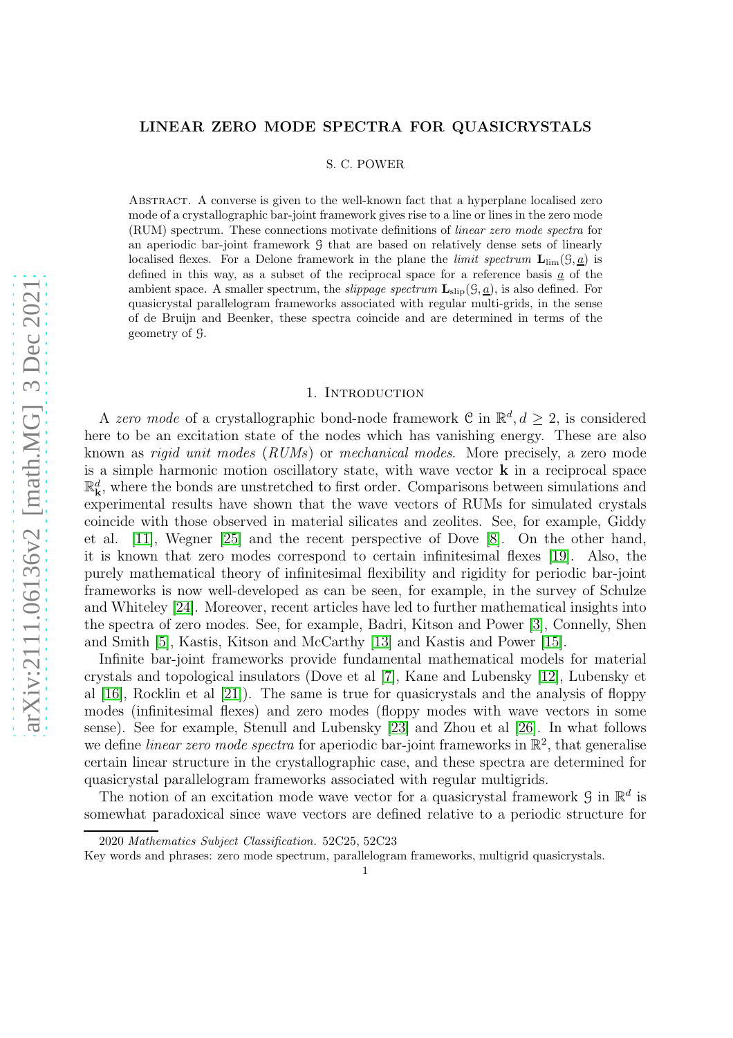# LINEAR ZERO MODE SPECTRA FOR QUASICRYSTALS

#### S. C. POWER

Abstract. A converse is given to the well-known fact that a hyperplane localised zero mode of a crystallographic bar-joint framework gives rise to a line or lines in the zero mode (RUM) spectrum. These connections motivate definitions of linear zero mode spectra for an aperiodic bar-joint framework G that are based on relatively dense sets of linearly localised flexes. For a Delone framework in the plane the *limit spectrum*  $\mathbf{L}_{\text{lim}}(\mathcal{G}, \underline{a})$  is defined in this way, as a subset of the reciprocal space for a reference basis  $\underline{a}$  of the ambient space. A smaller spectrum, the *slippage spectrum*  $\mathbf{L}_{\text{slip}}(\mathcal{G}, \underline{a})$ , is also defined. For quasicrystal parallelogram frameworks associated with regular multi-grids, in the sense of de Bruijn and Beenker, these spectra coincide and are determined in terms of the geometry of G.

# 1. INTRODUCTION

A zero mode of a crystallographic bond-node framework C in  $\mathbb{R}^d, d \geq 2$ , is considered here to be an excitation state of the nodes which has vanishing energy. These are also known as rigid unit modes (RUMs) or mechanical modes. More precisely, a zero mode is a simple harmonic motion oscillatory state, with wave vector k in a reciprocal space  $\mathbb{R}^d_k$ , where the bonds are unstretched to first order. Comparisons between simulations and experimental results have shown that the wave vectors of RUMs for simulated crystals coincide with those observed in material silicates and zeolites. See, for example, Giddy et al. [\[11\]](#page-20-0), Wegner [\[25\]](#page-20-1) and the recent perspective of Dove [\[8\]](#page-20-2). On the other hand, it is known that zero modes correspond to certain infinitesimal flexes [\[19\]](#page-20-3). Also, the purely mathematical theory of infinitesimal flexibility and rigidity for periodic bar-joint frameworks is now well-developed as can be seen, for example, in the survey of Schulze and Whiteley [\[24\]](#page-20-4). Moreover, recent articles have led to further mathematical insights into the spectra of zero modes. See, for example, Badri, Kitson and Power [\[3\]](#page-19-0), Connelly, Shen and Smith [\[5\]](#page-19-1), Kastis, Kitson and McCarthy [\[13\]](#page-20-5) and Kastis and Power [\[15\]](#page-20-6).

Infinite bar-joint frameworks provide fundamental mathematical models for material crystals and topological insulators (Dove et al [\[7\]](#page-19-2), Kane and Lubensky [\[12\]](#page-20-7), Lubensky et al [\[16\]](#page-20-8), Rocklin et al [\[21\]](#page-20-9)). The same is true for quasicrystals and the analysis of floppy modes (infinitesimal flexes) and zero modes (floppy modes with wave vectors in some sense). See for example, Stenull and Lubensky [\[23\]](#page-20-10) and Zhou et al [\[26\]](#page-20-11). In what follows we define *linear zero mode spectra* for aperiodic bar-joint frameworks in  $\mathbb{R}^2$ , that generalise certain linear structure in the crystallographic case, and these spectra are determined for quasicrystal parallelogram frameworks associated with regular multigrids.

The notion of an excitation mode wave vector for a quasicrystal framework  $\mathcal{G}$  in  $\mathbb{R}^d$  is somewhat paradoxical since wave vectors are defined relative to a periodic structure for

<sup>2020</sup> Mathematics Subject Classification. 52C25, 52C23

Key words and phrases: zero mode spectrum, parallelogram frameworks, multigrid quasicrystals.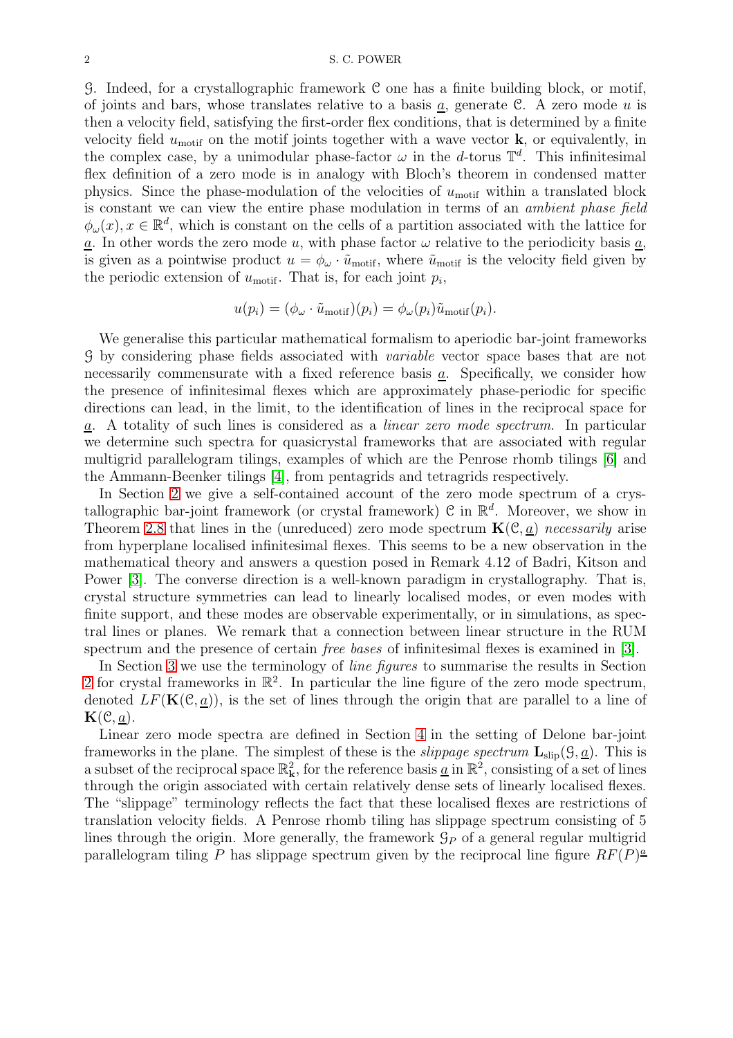G. Indeed, for a crystallographic framework C one has a finite building block, or motif, of joints and bars, whose translates relative to a basis a, generate  $\mathcal{C}$ . A zero mode u is then a velocity field, satisfying the first-order flex conditions, that is determined by a finite velocity field  $u_{\text{motif}}$  on the motif joints together with a wave vector **k**, or equivalently, in the complex case, by a unimodular phase-factor  $\omega$  in the d-torus  $\mathbb{T}^d$ . This infinitesimal flex definition of a zero mode is in analogy with Bloch's theorem in condensed matter physics. Since the phase-modulation of the velocities of  $u_{\text{motif}}$  within a translated block is constant we can view the entire phase modulation in terms of an ambient phase field  $\phi_{\omega}(x), x \in \mathbb{R}^d$ , which is constant on the cells of a partition associated with the lattice for  $\underline{a}$ . In other words the zero mode u, with phase factor  $\omega$  relative to the periodicity basis  $\underline{a}$ , is given as a pointwise product  $u = \phi_\omega \cdot \tilde{u}_{\text{motif}}$ , where  $\tilde{u}_{\text{motif}}$  is the velocity field given by the periodic extension of  $u_{\text{motif}}$ . That is, for each joint  $p_i$ ,

$$
u(p_i) = (\phi_\omega \cdot \tilde{u}_{\text{motif}})(p_i) = \phi_\omega(p_i)\tilde{u}_{\text{motif}}(p_i).
$$

We generalise this particular mathematical formalism to aperiodic bar-joint frameworks G by considering phase fields associated with variable vector space bases that are not necessarily commensurate with a fixed reference basis a. Specifically, we consider how the presence of infinitesimal flexes which are approximately phase-periodic for specific directions can lead, in the limit, to the identification of lines in the reciprocal space for a. A totality of such lines is considered as a linear zero mode spectrum. In particular we determine such spectra for quasicrystal frameworks that are associated with regular multigrid parallelogram tilings, examples of which are the Penrose rhomb tilings [\[6\]](#page-19-3) and the Ammann-Beenker tilings [\[4\]](#page-19-4), from pentagrids and tetragrids respectively.

In Section [2](#page-2-0) we give a self-contained account of the zero mode spectrum of a crystallographic bar-joint framework (or crystal framework)  $\mathcal{C}$  in  $\mathbb{R}^d$ . Moreover, we show in Theorem [2.8](#page-7-0) that lines in the (unreduced) zero mode spectrum  $\mathbf{K}(\mathcal{C}, a)$  necessarily arise from hyperplane localised infinitesimal flexes. This seems to be a new observation in the mathematical theory and answers a question posed in Remark 4.12 of Badri, Kitson and Power [\[3\]](#page-19-0). The converse direction is a well-known paradigm in crystallography. That is, crystal structure symmetries can lead to linearly localised modes, or even modes with finite support, and these modes are observable experimentally, or in simulations, as spectral lines or planes. We remark that a connection between linear structure in the RUM spectrum and the presence of certain free bases of infinitesimal flexes is examined in [\[3\]](#page-19-0).

In Section [3](#page-8-0) we use the terminology of *line figures* to summarise the results in Section [2](#page-2-0) for crystal frameworks in  $\mathbb{R}^2$ . In particular the line figure of the zero mode spectrum, denoted  $LF(K(\mathcal{C}, a))$ , is the set of lines through the origin that are parallel to a line of  ${\bf K}({\mathcal C},\underline{a}).$ 

Linear zero mode spectra are defined in Section [4](#page-9-0) in the setting of Delone bar-joint frameworks in the plane. The simplest of these is the *slippage spectrum*  $\mathbf{L}_{\text{slip}}(\mathcal{G}, \underline{a})$ . This is a subset of the reciprocal space  $\mathbb{R}^2_k$ , for the reference basis <u>a</u> in  $\mathbb{R}^2$ , consisting of a set of lines through the origin associated with certain relatively dense sets of linearly localised flexes. The "slippage" terminology reflects the fact that these localised flexes are restrictions of translation velocity fields. A Penrose rhomb tiling has slippage spectrum consisting of 5 lines through the origin. More generally, the framework  $\mathcal{G}_P$  of a general regular multigrid parallelogram tiling P has slippage spectrum given by the reciprocal line figure  $RF(P)^{\underline{a}}$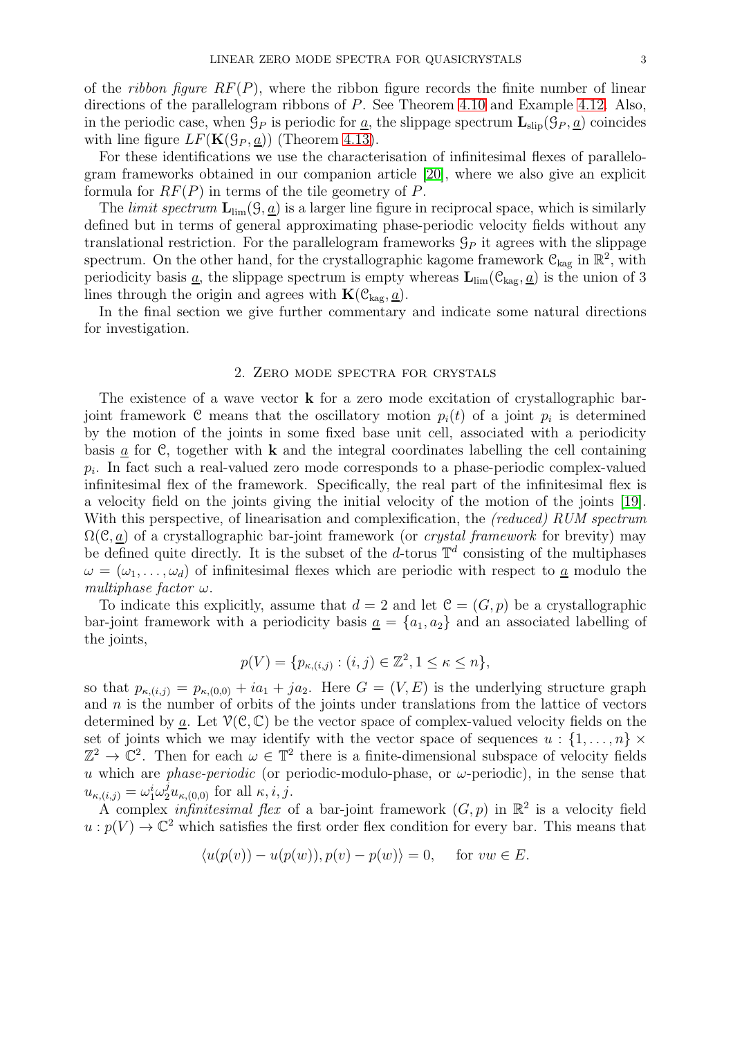of the *ribbon figure RF(P)*, where the ribbon figure records the finite number of linear directions of the parallelogram ribbons of P. See Theorem [4.10](#page-15-0) and Example [4.12.](#page-15-1) Also, in the periodic case, when  $\mathcal{G}_P$  is periodic for <u>a</u>, the slippage spectrum  $\mathbf{L}_{\text{slip}}(\mathcal{G}_P, \underline{a})$  coincides with line figure  $LF(\mathbf{K}(\mathcal{G}_P, \underline{a}))$  (Theorem [4.13\)](#page-16-0).

For these identifications we use the characterisation of infinitesimal flexes of parallelogram frameworks obtained in our companion article [\[20\]](#page-20-12), where we also give an explicit formula for  $RF(P)$  in terms of the tile geometry of P.

The *limit spectrum*  $\mathbf{L}_{\text{lim}}(\mathcal{G}, \underline{a})$  is a larger line figure in reciprocal space, which is similarly defined but in terms of general approximating phase-periodic velocity fields without any translational restriction. For the parallelogram frameworks  $\mathcal{G}_P$  it agrees with the slippage spectrum. On the other hand, for the crystallographic kagome framework  $\mathcal{C}_{\text{kag}}$  in  $\mathbb{R}^2$ , with periodicity basis  $\underline{a}$ , the slippage spectrum is empty whereas  $\mathbf{L}_{\text{lim}}(\mathcal{C}_{\text{kag}}, \underline{a})$  is the union of 3 lines through the origin and agrees with  $\mathbf{K}(\mathcal{C}_{\text{kag}},\underline{a})$ .

In the final section we give further commentary and indicate some natural directions for investigation.

# 2. Zero mode spectra for crystals

<span id="page-2-0"></span>The existence of a wave vector  $\bf{k}$  for a zero mode excitation of crystallographic barjoint framework C means that the oscillatory motion  $p_i(t)$  of a joint  $p_i$  is determined by the motion of the joints in some fixed base unit cell, associated with a periodicity basis  $\underline{a}$  for C, together with **k** and the integral coordinates labelling the cell containing  $p_i$ . In fact such a real-valued zero mode corresponds to a phase-periodic complex-valued infinitesimal flex of the framework. Specifically, the real part of the infinitesimal flex is a velocity field on the joints giving the initial velocity of the motion of the joints [\[19\]](#page-20-3). With this perspective, of linearisation and complexification, the (reduced) RUM spectrum  $\Omega(\mathcal{C}, a)$  of a crystallographic bar-joint framework (or *crystal framework* for brevity) may be defined quite directly. It is the subset of the d-torus  $\mathbb{T}^d$  consisting of the multiphases  $\omega = (\omega_1, \ldots, \omega_d)$  of infinitesimal flexes which are periodic with respect to <u>a</u> modulo the multiphase factor  $\omega$ .

To indicate this explicitly, assume that  $d = 2$  and let  $\mathcal{C} = (G, p)$  be a crystallographic bar-joint framework with a periodicity basis  $a = \{a_1, a_2\}$  and an associated labelling of the joints,

$$
p(V) = \{p_{\kappa,(i,j)} : (i,j) \in \mathbb{Z}^2, 1 \le \kappa \le n\},\
$$

so that  $p_{\kappa,(i,j)} = p_{\kappa,(0,0)} + ia_1 + ja_2$ . Here  $G = (V, E)$  is the underlying structure graph and  $n$  is the number of orbits of the joints under translations from the lattice of vectors determined by a. Let  $V(\mathcal{C}, \mathbb{C})$  be the vector space of complex-valued velocity fields on the set of joints which we may identify with the vector space of sequences  $u : \{1, \ldots, n\} \times$  $\mathbb{Z}^2 \to \mathbb{C}^2$ . Then for each  $\omega \in \mathbb{T}^2$  there is a finite-dimensional subspace of velocity fields u which are *phase-periodic* (or periodic-modulo-phase, or  $\omega$ -periodic), in the sense that  $u_{\kappa,(i,j)} = \omega_1^i \omega_2^j u_{\kappa,(0,0)}$  for all  $\kappa, i, j$ .

A complex *infinitesimal flex* of a bar-joint framework  $(G, p)$  in  $\mathbb{R}^2$  is a velocity field  $u: p(V) \to \mathbb{C}^2$  which satisfies the first order flex condition for every bar. This means that

$$
\langle u(p(v)) - u(p(w)), p(v) - p(w) \rangle = 0, \quad \text{for } vw \in E.
$$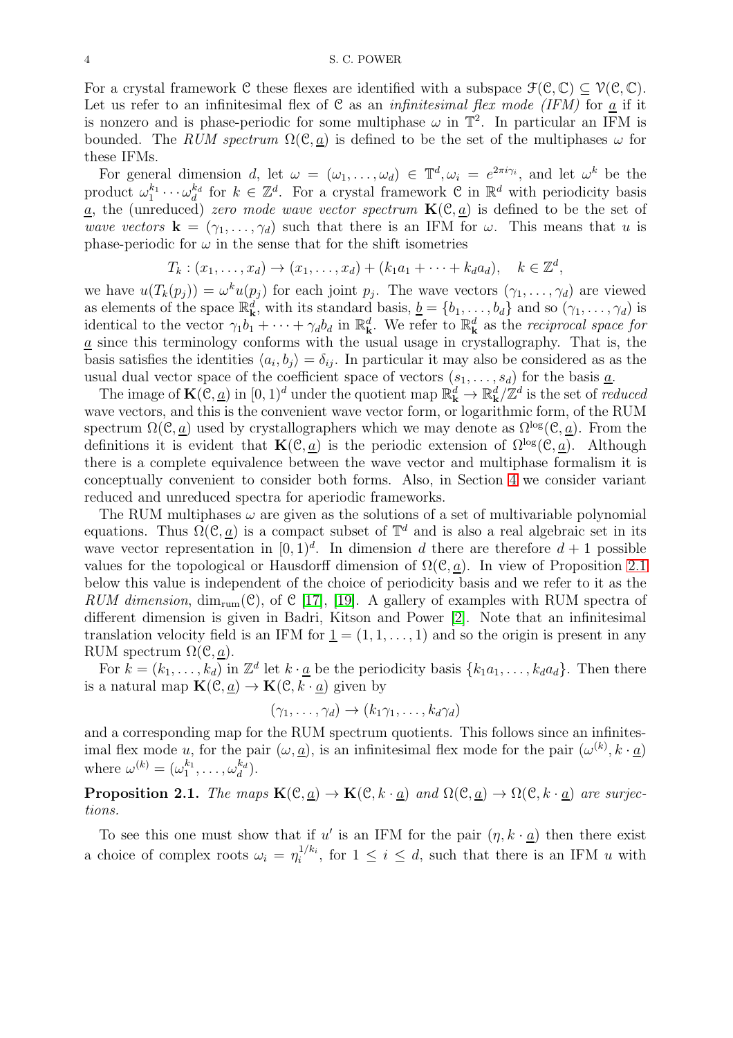For a crystal framework C these flexes are identified with a subspace  $\mathcal{F}(\mathcal{C}, \mathbb{C}) \subset \mathcal{V}(\mathcal{C}, \mathbb{C})$ . Let us refer to an infinitesimal flex of  $C$  as an *infinitesimal flex mode (IFM)* for a if it is nonzero and is phase-periodic for some multiphase  $\omega$  in  $\mathbb{T}^2$ . In particular an IFM is bounded. The RUM spectrum  $\Omega(\mathcal{C}, \underline{a})$  is defined to be the set of the multiphases  $\omega$  for these IFMs.

For general dimension d, let  $\omega = (\omega_1, \ldots, \omega_d) \in \mathbb{T}^d, \omega_i = e^{2\pi i \gamma_i}$ , and let  $\omega^k$  be the product  $\omega_1^{k_1} \cdots \omega_d^{k_d}$  $\mathbf{g}_d^{k_d}$  for  $k \in \mathbb{Z}^d$ . For a crystal framework  $\mathcal{C}$  in  $\mathbb{R}^d$  with periodicity basis  $\alpha$ , the (unreduced) zero mode wave vector spectrum  $\mathbf{K}(\mathcal{C}, \underline{a})$  is defined to be the set of wave vectors  $\mathbf{k} = (\gamma_1, \dots, \gamma_d)$  such that there is an IFM for  $\omega$ . This means that u is phase-periodic for  $\omega$  in the sense that for the shift isometries

$$
T_k: (x_1,\ldots,x_d)\to (x_1,\ldots,x_d)+(k_1a_1+\cdots+k_d a_d), \quad k\in\mathbb{Z}^d,
$$

we have  $u(T_k(p_j)) = \omega^k u(p_j)$  for each joint  $p_j$ . The wave vectors  $(\gamma_1, \ldots, \gamma_d)$  are viewed as elements of the space  $\mathbb{R}_{k}^{d}$ , with its standard basis,  $\underline{b} = \{b_1, \ldots, b_d\}$  and so  $(\gamma_1, \ldots, \gamma_d)$  is identical to the vector  $\gamma_1 b_1 + \cdots + \gamma_d b_d$  in  $\mathbb{R}^d_k$ . We refer to  $\mathbb{R}^d_k$  as the *reciprocal space for*  $\underline{a}$  since this terminology conforms with the usual usage in crystallography. That is, the basis satisfies the identities  $\langle a_i, b_j \rangle = \delta_{ij}$ . In particular it may also be considered as as the usual dual vector space of the coefficient space of vectors  $(s_1, \ldots, s_d)$  for the basis  $\underline{a}$ .

The image of  $\mathbf{K}(\mathcal{C},\underline{a})$  in  $[0,1)^d$  under the quotient map  $\mathbb{R}^d_{\mathbf{k}} \to \mathbb{R}^d_{\mathbf{k}}/\mathbb{Z}^d$  is the set of *reduced* wave vectors, and this is the convenient wave vector form, or logarithmic form, of the RUM spectrum  $\Omega(\mathcal{C}, \underline{a})$  used by crystallographers which we may denote as  $\Omega^{\log}(\mathcal{C}, a)$ . From the definitions it is evident that  $\mathbf{K}(\mathcal{C}, \underline{a})$  is the periodic extension of  $\Omega^{\log}(\mathcal{C}, \underline{a})$ . Although there is a complete equivalence between the wave vector and multiphase formalism it is conceptually convenient to consider both forms. Also, in Section [4](#page-9-0) we consider variant reduced and unreduced spectra for aperiodic frameworks.

The RUM multiphases  $\omega$  are given as the solutions of a set of multivariable polynomial equations. Thus  $\Omega(\mathcal{C}, \underline{a})$  is a compact subset of  $\mathbb{T}^d$  and is also a real algebraic set in its wave vector representation in  $[0, 1)^d$ . In dimension d there are therefore  $d+1$  possible values for the topological or Hausdorff dimension of  $\Omega(\mathcal{C}, a)$ . In view of Proposition [2.1](#page-3-0) below this value is independent of the choice of periodicity basis and we refer to it as the RUM dimension,  $\dim_{\text{rum}}(\mathcal{C})$ , of  $\mathcal{C}$  [\[17\]](#page-20-13), [\[19\]](#page-20-3). A gallery of examples with RUM spectra of different dimension is given in Badri, Kitson and Power [\[2\]](#page-19-5). Note that an infinitesimal translation velocity field is an IFM for  $\underline{1} = (1, 1, \ldots, 1)$  and so the origin is present in any RUM spectrum  $\Omega(\mathcal{C}, \underline{a})$ .

For  $k = (k_1, \ldots, k_d)$  in  $\mathbb{Z}^d$  let  $k \cdot \underline{a}$  be the periodicity basis  $\{k_1 a_1, \ldots, k_d a_d\}$ . Then there is a natural map  $\mathbf{K}(\mathcal{C}, \underline{a}) \to \mathbf{K}(\mathcal{C}, k \cdot \underline{a})$  given by

$$
(\gamma_1,\ldots,\gamma_d)\to (k_1\gamma_1,\ldots,k_d\gamma_d)
$$

and a corresponding map for the RUM spectrum quotients. This follows since an infinitesimal flex mode u, for the pair  $(\omega, \underline{a})$ , is an infinitesimal flex mode for the pair  $(\omega^{(k)}, k \cdot \underline{a})$ where  $\omega^{(k)} = (\omega_1^{k_1}, \ldots, \omega_d^{k_d})$  $\binom{k_d}{d}$ .

<span id="page-3-0"></span>**Proposition 2.1.** The maps  $\mathbf{K}(\mathcal{C}, \underline{a}) \to \mathbf{K}(\mathcal{C}, k \cdot \underline{a})$  and  $\Omega(\mathcal{C}, \underline{a}) \to \Omega(\mathcal{C}, k \cdot \underline{a})$  are surjections.

To see this one must show that if u' is an IFM for the pair  $(\eta, k \cdot \underline{a})$  then there exist a choice of complex roots  $\omega_i = \eta_i^{1/k_i}$  $i^{1/k_i}$ , for  $1 \leq i \leq d$ , such that there is an IFM u with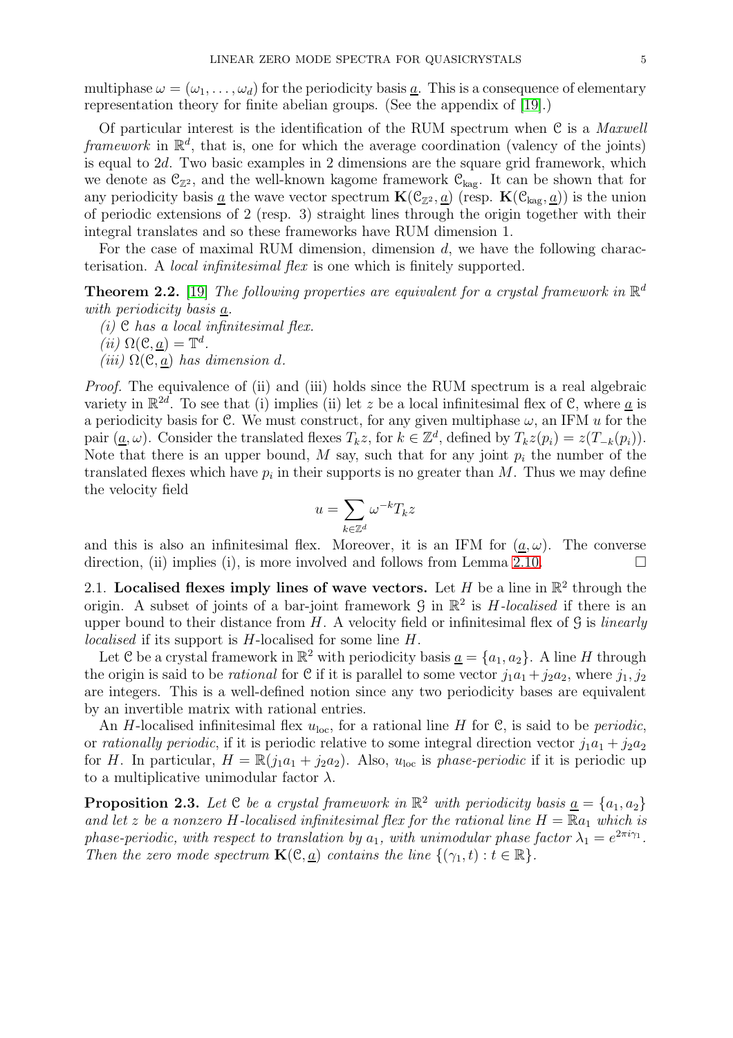multiphase  $\omega = (\omega_1, \ldots, \omega_d)$  for the periodicity basis a. This is a consequence of elementary representation theory for finite abelian groups. (See the appendix of [\[19\]](#page-20-3).)

Of particular interest is the identification of the RUM spectrum when  $C$  is a *Maxwell* framework in  $\mathbb{R}^d$ , that is, one for which the average coordination (valency of the joints) is equal to 2d. Two basic examples in 2 dimensions are the square grid framework, which we denote as  $\mathcal{C}_{\mathbb{Z}^2}$ , and the well-known kagome framework  $\mathcal{C}_{\text{kag}}$ . It can be shown that for any periodicity basis <u>a</u> the wave vector spectrum  $\mathbf{K}(\mathcal{C}_{\mathbb{Z}^2},\underline{a})$  (resp.  $\mathbf{K}(\mathcal{C}_{\text{kag}},\underline{a})$ ) is the union of periodic extensions of 2 (resp. 3) straight lines through the origin together with their integral translates and so these frameworks have RUM dimension 1.

For the case of maximal RUM dimension, dimension  $d$ , we have the following characterisation. A local infinitesimal flex is one which is finitely supported.

<span id="page-4-1"></span>**Theorem 2.2.** [\[19\]](#page-20-3) The following properties are equivalent for a crystal framework in  $\mathbb{R}^d$ with periodicity basis a.

(i)  $\mathfrak C$  has a local infinitesimal flex. d .

$$
(ii) \Omega(\mathcal{C}, \underline{a}) = \mathbb{T}
$$

(iii)  $\Omega(\mathcal{C},a)$  has dimension d.

Proof. The equivalence of (ii) and (iii) holds since the RUM spectrum is a real algebraic variety in  $\mathbb{R}^{2d}$ . To see that (i) implies (ii) let z be a local infinitesimal flex of C, where <u>a</u> is a periodicity basis for C. We must construct, for any given multiphase  $\omega$ , an IFM u for the pair  $(\underline{a}, \omega)$ . Consider the translated flexes  $T_k z$ , for  $k \in \mathbb{Z}^d$ , defined by  $T_k z(p_i) = z(T_{-k}(p_i))$ . Note that there is an upper bound, M say, such that for any joint  $p_i$  the number of the translated flexes which have  $p_i$  in their supports is no greater than M. Thus we may define the velocity field

$$
u = \sum_{k \in \mathbb{Z}^d} \omega^{-k} T_k z
$$

and this is also an infinitesimal flex. Moreover, it is an IFM for  $(\underline{a}, \omega)$ . The converse direction, (ii) implies (i), is more involved and follows from Lemma [2.10.](#page-7-1)

2.1. Localised flexes imply lines of wave vectors. Let H be a line in  $\mathbb{R}^2$  through the origin. A subset of joints of a bar-joint framework  $\mathcal G$  in  $\mathbb R^2$  is H-localised if there is an upper bound to their distance from  $H$ . A velocity field or infinitesimal flex of  $\mathcal G$  is linearly localised if its support is H-localised for some line H.

Let C be a crystal framework in  $\mathbb{R}^2$  with periodicity basis  $\underline{a} = \{a_1, a_2\}$ . A line H through the origin is said to be *rational* for C if it is parallel to some vector  $j_1a_1 + j_2a_2$ , where  $j_1, j_2$ are integers. This is a well-defined notion since any two periodicity bases are equivalent by an invertible matrix with rational entries.

An H-localised infinitesimal flex  $u_{\text{loc}}$ , for a rational line H for C, is said to be *periodic*, or *rationally periodic*, if it is periodic relative to some integral direction vector  $j_1a_1 + j_2a_2$ for H. In particular,  $H = \mathbb{R}(j_1a_1 + j_2a_2)$ . Also,  $u_{\text{loc}}$  is phase-periodic if it is periodic up to a multiplicative unimodular factor  $\lambda$ .

<span id="page-4-0"></span>**Proposition 2.3.** Let C be a crystal framework in  $\mathbb{R}^2$  with periodicity basis  $\underline{a} = \{a_1, a_2\}$ and let z be a nonzero H-localised infinitesimal flex for the rational line  $H = \mathbb{R}a_1$  which is phase-periodic, with respect to translation by  $a_1$ , with unimodular phase factor  $\lambda_1 = e^{2\pi i \gamma_1}$ . Then the zero mode spectrum  $\mathbf{K}(\mathcal{C}, \underline{a})$  contains the line  $\{(\gamma_1, t) : t \in \mathbb{R}\}.$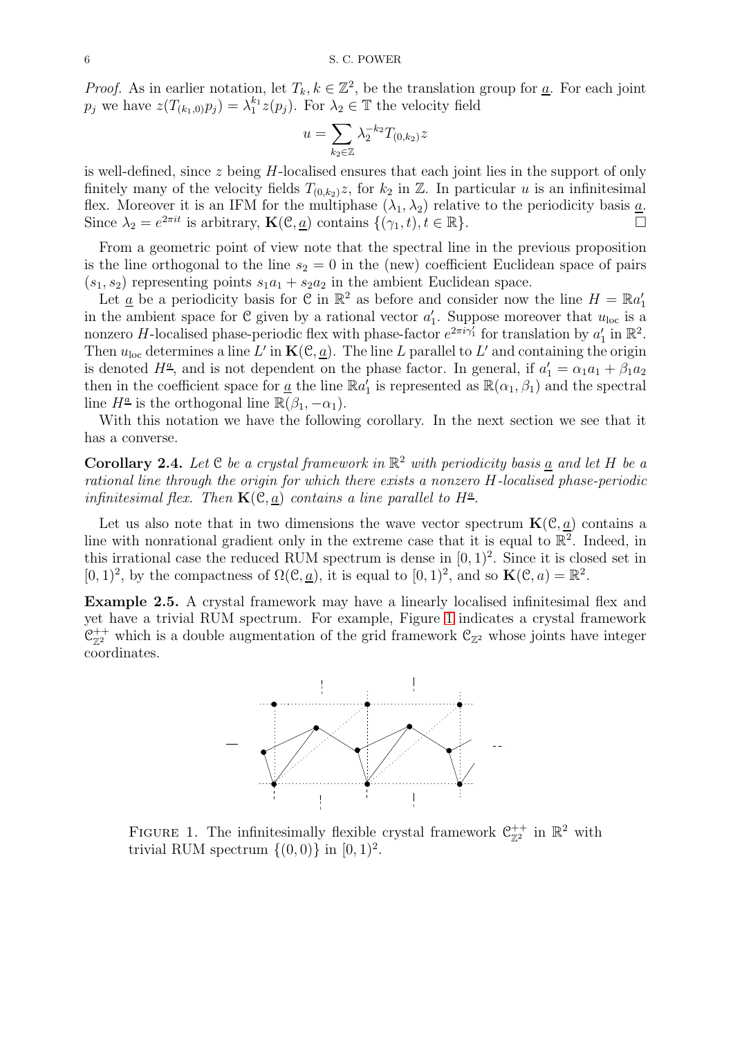*Proof.* As in earlier notation, let  $T_k, k \in \mathbb{Z}^2$ , be the translation group for <u>a</u>. For each joint  $p_j$  we have  $z(T_{(k_1,0)}p_j) = \lambda_1^{k_1} z(p_j)$ . For  $\lambda_2 \in \mathbb{T}$  the velocity field

$$
u = \sum_{k_2 \in \mathbb{Z}} \lambda_2^{-k_2} T_{(0,k_2)} z
$$

is well-defined, since  $z$  being H-localised ensures that each joint lies in the support of only finitely many of the velocity fields  $T_{(0,k_2)}z$ , for  $k_2$  in  $\mathbb Z$ . In particular u is an infinitesimal flex. Moreover it is an IFM for the multiphase  $(\lambda_1, \lambda_2)$  relative to the periodicity basis  $\underline{a}$ . Since  $\lambda_2 = e^{2\pi i t}$  is arbitrary,  $\mathbf{K}(\mathcal{C}, \underline{a})$  contains  $\{(\gamma_1, t), t \in \mathbb{R}\}.$ 

From a geometric point of view note that the spectral line in the previous proposition is the line orthogonal to the line  $s_2 = 0$  in the (new) coefficient Euclidean space of pairs  $(s_1, s_2)$  representing points  $s_1a_1 + s_2a_2$  in the ambient Euclidean space.

Let  $\underline{a}$  be a periodicity basis for  $\mathfrak C$  in  $\mathbb R^2$  as before and consider now the line  $H = \mathbb R a'_1$ in the ambient space for C given by a rational vector  $a'_1$ . Suppose moreover that  $u_{\text{loc}}$  is a nonzero H-localised phase-periodic flex with phase-factor  $e^{2\pi i \gamma_1}$  for translation by  $a'_1$  in  $\mathbb{R}^2$ . Then  $u_{\text{loc}}$  determines a line L' in  $\mathbf{K}(\mathcal{C}, \underline{a})$ . The line L parallel to L' and containing the origin is denoted  $H^{\underline{a}}$ , and is not dependent on the phase factor. In general, if  $a'_1 = \alpha_1 a_1 + \beta_1 a_2$ then in the coefficient space for <u>a</u> the line  $\mathbb{R}a'_1$  is represented as  $\mathbb{R}(\alpha_1, \beta_1)$  and the spectral line  $H^{\underline{a}}$  is the orthogonal line  $\mathbb{R}(\beta_1, -\alpha_1)$ .

With this notation we have the following corollary. In the next section we see that it has a converse.

<span id="page-5-2"></span>**Corollary 2.4.** Let  $C$  be a crystal framework in  $\mathbb{R}^2$  with periodicity basis <u>a</u> and let H be a rational line through the origin for which there exists a nonzero H-localised phase-periodic infinitesimal flex. Then  $\mathbf{K}(\mathcal{C}, \underline{a})$  contains a line parallel to  $H^{\underline{a}}$ .

Let us also note that in two dimensions the wave vector spectrum  $\mathbf{K}(\mathcal{C}, \underline{a})$  contains a line with nonrational gradient only in the extreme case that it is equal to  $\mathbb{R}^2$ . Indeed, in this irrational case the reduced RUM spectrum is dense in  $[0, 1)^2$ . Since it is closed set in  $[0,1)^2$ , by the compactness of  $\Omega(\mathcal{C}, \underline{a})$ , it is equal to  $[0,1)^2$ , and so  $\mathbf{K}(\mathcal{C}, a) = \mathbb{R}^2$ .

<span id="page-5-1"></span><span id="page-5-0"></span>Example 2.5. A crystal framework may have a linearly localised infinitesimal flex and yet have a trivial RUM spectrum. For example, Figure [1](#page-5-0) indicates a crystal framework  $\mathcal{C}_{\mathbb{Z}^2}^{++}$  which is a double augmentation of the grid framework  $\mathcal{C}_{\mathbb{Z}^2}$  whose joints have integer coordinates.



FIGURE 1. The infinitesimally flexible crystal framework  $\mathcal{C}_{\mathbb{Z}^2}^{++}$  in  $\mathbb{R}^2$  with trivial RUM spectrum  $\{(0,0)\}\$ in  $[0,1)^2$ .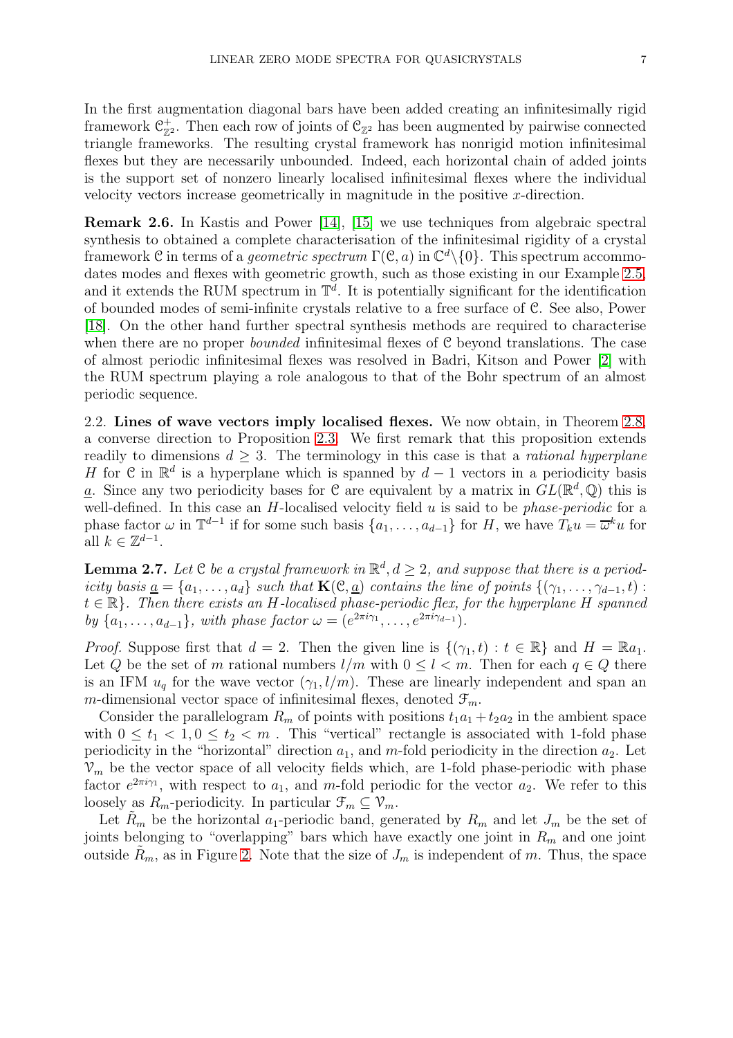In the first augmentation diagonal bars have been added creating an infinitesimally rigid framework  $\mathcal{C}_{\mathbb{Z}^2}^+$ . Then each row of joints of  $\mathcal{C}_{\mathbb{Z}^2}$  has been augmented by pairwise connected triangle frameworks. The resulting crystal framework has nonrigid motion infinitesimal flexes but they are necessarily unbounded. Indeed, each horizontal chain of added joints is the support set of nonzero linearly localised infinitesimal flexes where the individual velocity vectors increase geometrically in magnitude in the positive x-direction.

Remark 2.6. In Kastis and Power [\[14\]](#page-20-14), [\[15\]](#page-20-6) we use techniques from algebraic spectral synthesis to obtained a complete characterisation of the infinitesimal rigidity of a crystal framework C in terms of a *geometric spectrum*  $\Gamma(\mathcal{C}, a)$  in  $\mathbb{C}^d \setminus \{0\}$ . This spectrum accommo-dates modes and flexes with geometric growth, such as those existing in our Example [2.5,](#page-5-1) and it extends the RUM spectrum in  $\mathbb{T}^d$ . It is potentially significant for the identification of bounded modes of semi-infinite crystals relative to a free surface of C. See also, Power [\[18\]](#page-20-15). On the other hand further spectral synthesis methods are required to characterise when there are no proper *bounded* infinitesimal flexes of C beyond translations. The case of almost periodic infinitesimal flexes was resolved in Badri, Kitson and Power [\[2\]](#page-19-5) with the RUM spectrum playing a role analogous to that of the Bohr spectrum of an almost periodic sequence.

<span id="page-6-1"></span>2.2. Lines of wave vectors imply localised flexes. We now obtain, in Theorem [2.8,](#page-7-0) a converse direction to Proposition [2.3.](#page-4-0) We first remark that this proposition extends readily to dimensions  $d \geq 3$ . The terminology in this case is that a *rational hyperplane* H for C in  $\mathbb{R}^d$  is a hyperplane which is spanned by  $d-1$  vectors in a periodicity basis <u>a</u>. Since any two periodicity bases for C are equivalent by a matrix in  $GL(\mathbb{R}^d, \mathbb{Q})$  this is well-defined. In this case an  $H$ -localised velocity field  $u$  is said to be *phase-periodic* for a phase factor  $\omega$  in  $\mathbb{T}^{d-1}$  if for some such basis  $\{a_1, \ldots, a_{d-1}\}$  for H, we have  $T_k u = \overline{\omega}^k u$  for all  $k \in \mathbb{Z}^{d-1}$ .

<span id="page-6-0"></span>**Lemma 2.7.** Let  $C$  be a crystal framework in  $\mathbb{R}^d, d \geq 2$ , and suppose that there is a periodicity basis  $\underline{a} = \{a_1, \ldots, a_d\}$  such that  $\mathbf{K}(\mathcal{C}, \underline{a})$  contains the line of points  $\{(\gamma_1, \ldots, \gamma_{d-1}, t) :$  $t \in \mathbb{R}$ . Then there exists an H-localised phase-periodic flex, for the hyperplane H spanned by  $\{a_1, ..., a_{d-1}\}\$ , with phase factor  $\omega = (e^{2\pi i \gamma_1}, ..., e^{2\pi i \gamma_{d-1}})\$ .

*Proof.* Suppose first that  $d = 2$ . Then the given line is  $\{(\gamma_1, t) : t \in \mathbb{R}\}\$  and  $H = \mathbb{R}a_1$ . Let Q be the set of m rational numbers  $l/m$  with  $0 \leq l < m$ . Then for each  $q \in Q$  there is an IFM  $u_q$  for the wave vector  $(\gamma_1, l/m)$ . These are linearly independent and span an m-dimensional vector space of infinitesimal flexes, denoted  $\mathcal{F}_m$ .

Consider the parallelogram  $R_m$  of points with positions  $t_1a_1 + t_2a_2$  in the ambient space with  $0 \le t_1 < 1, 0 \le t_2 < m$ . This "vertical" rectangle is associated with 1-fold phase periodicity in the "horizontal" direction  $a_1$ , and m-fold periodicity in the direction  $a_2$ . Let  $\mathcal{V}_m$  be the vector space of all velocity fields which, are 1-fold phase-periodic with phase factor  $e^{2\pi i \gamma_1}$ , with respect to  $a_1$ , and m-fold periodic for the vector  $a_2$ . We refer to this loosely as  $R_m$ -periodicity. In particular  $\mathcal{F}_m \subseteq \mathcal{V}_m$ .

Let  $\tilde{R}_m$  be the horizontal  $a_1$ -periodic band, generated by  $R_m$  and let  $J_m$  be the set of joints belonging to "overlapping" bars which have exactly one joint in  $R_m$  and one joint outside  $R_m$ , as in Figure [2.](#page-7-2) Note that the size of  $J_m$  is independent of m. Thus, the space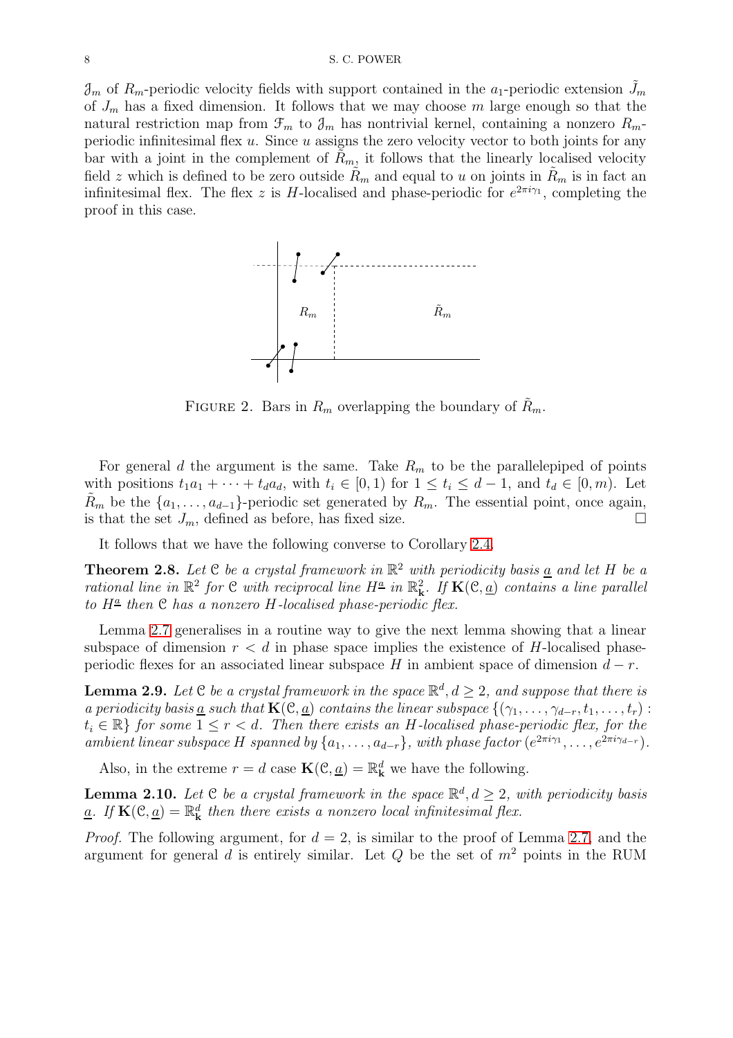<span id="page-7-2"></span> $\mathcal{J}_m$  of  $R_m$ -periodic velocity fields with support contained in the  $a_1$ -periodic extension  $J_m$ of  $J_m$  has a fixed dimension. It follows that we may choose m large enough so that the natural restriction map from  $\mathcal{F}_m$  to  $\mathcal{J}_m$  has nontrivial kernel, containing a nonzero  $R_m$ periodic infinitesimal flex  $u$ . Since  $u$  assigns the zero velocity vector to both joints for any bar with a joint in the complement of  $R_m$ , it follows that the linearly localised velocity field z which is defined to be zero outside  $R_m$  and equal to u on joints in  $R_m$  is in fact an infinitesimal flex. The flex z is H-localised and phase-periodic for  $e^{2\pi i \gamma_1}$ , completing the proof in this case.



FIGURE 2. Bars in  $R_m$  overlapping the boundary of  $R_m$ .

For general d the argument is the same. Take  $R_m$  to be the parallelepiped of points with positions  $t_1a_1 + \cdots + t_d a_d$ , with  $t_i \in [0,1)$  for  $1 \le t_i \le d-1$ , and  $t_d \in [0,m)$ . Let  $R_m$  be the  $\{a_1, \ldots, a_{d-1}\}$ -periodic set generated by  $R_m$ . The essential point, once again, is that the set  $J_m$ , defined as before, has fixed size.

It follows that we have the following converse to Corollary [2.4.](#page-5-2)

<span id="page-7-0"></span>**Theorem 2.8.** Let  $C$  be a crystal framework in  $\mathbb{R}^2$  with periodicity basis <u>a</u> and let H be a rational line in  $\mathbb{R}^2$  for C with reciprocal line  $H^{\underline{a}}$  in  $\mathbb{R}^2_k$ . If  $\mathbf{K}(\mathcal{C},\underline{a})$  contains a line parallel to  $H^{\underline{a}}$  then  $\mathfrak C$  has a nonzero  $H$ -localised phase-periodic flex.

Lemma [2.7](#page-6-0) generalises in a routine way to give the next lemma showing that a linear subspace of dimension  $r < d$  in phase space implies the existence of H-localised phaseperiodic flexes for an associated linear subspace H in ambient space of dimension  $d-r$ .

**Lemma 2.9.** Let C be a crystal framework in the space  $\mathbb{R}^d, d \geq 2$ , and suppose that there is a periodicity basis <u>a</u> such that  $\mathbf{K}(\mathcal{C}, \underline{a})$  contains the linear subspace  $\{(\gamma_1, \ldots, \gamma_{d-r}, t_1, \ldots, t_r)$ :  $t_i \in \mathbb{R}$  for some  $1 \leq r < d$ . Then there exists an H-localised phase-periodic flex, for the ambient linear subspace H spanned by  $\{a_1, \ldots, a_{d-r}\}\$ , with phase factor  $(e^{2\pi i \gamma_1}, \ldots, e^{2\pi i \gamma_{d-r}})\$ .

Also, in the extreme  $r = d$  case  $\mathbf{K}(\mathcal{C}, \underline{a}) = \mathbb{R}_{\mathbf{k}}^d$  we have the following.

<span id="page-7-1"></span>**Lemma 2.10.** Let  $C$  be a crystal framework in the space  $\mathbb{R}^d$ ,  $d \geq 2$ , with periodicity basis <u>a</u>. If  $\mathbf{K}(\mathcal{C}, \underline{a}) = \mathbb{R}^d_{\mathbf{k}}$  then there exists a nonzero local infinitesimal flex.

*Proof.* The following argument, for  $d = 2$ , is similar to the proof of Lemma [2.7,](#page-6-0) and the argument for general d is entirely similar. Let  $Q$  be the set of  $m<sup>2</sup>$  points in the RUM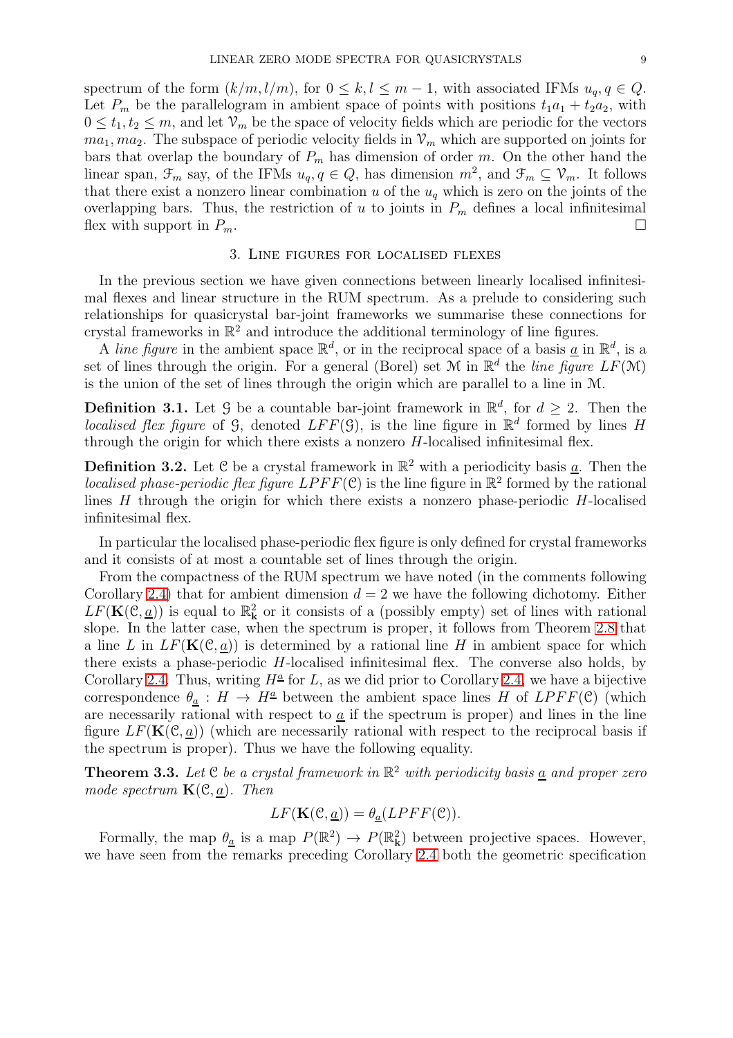spectrum of the form  $(k/m, l/m)$ , for  $0 \leq k, l \leq m-1$ , with associated IFMs  $u_q, q \in Q$ . Let  $P_m$  be the parallelogram in ambient space of points with positions  $t_1a_1 + t_2a_2$ , with  $0 \leq t_1, t_2 \leq m$ , and let  $\mathcal{V}_m$  be the space of velocity fields which are periodic for the vectors  $ma_1, ma_2$ . The subspace of periodic velocity fields in  $\mathcal{V}_m$  which are supported on joints for bars that overlap the boundary of  $P_m$  has dimension of order m. On the other hand the linear span,  $\mathcal{F}_m$  say, of the IFMs  $u_q, q \in Q$ , has dimension  $m^2$ , and  $\mathcal{F}_m \subseteq \mathcal{V}_m$ . It follows that there exist a nonzero linear combination u of the  $u<sub>q</sub>$  which is zero on the joints of the overlapping bars. Thus, the restriction of u to joints in  $P_m$  defines a local infinitesimal flex with support in  $P_m$ .

#### 3. Line figures for localised flexes

<span id="page-8-0"></span>In the previous section we have given connections between linearly localised infinitesimal flexes and linear structure in the RUM spectrum. As a prelude to considering such relationships for quasicrystal bar-joint frameworks we summarise these connections for crystal frameworks in  $\mathbb{R}^2$  and introduce the additional terminology of line figures.

A line figure in the ambient space  $\mathbb{R}^d$ , or in the reciprocal space of a basis <u>a</u> in  $\mathbb{R}^d$ , is a set of lines through the origin. For a general (Borel) set M in  $\mathbb{R}^d$  the line figure  $LF(M)$ is the union of the set of lines through the origin which are parallel to a line in M.

**Definition 3.1.** Let  $\mathcal{G}$  be a countable bar-joint framework in  $\mathbb{R}^d$ , for  $d \geq 2$ . Then the localised flex figure of G, denoted  $LFF(\mathcal{G})$ , is the line figure in  $\mathbb{R}^d$  formed by lines H through the origin for which there exists a nonzero  $H$ -localised infinitesimal flex.

**Definition 3.2.** Let C be a crystal framework in  $\mathbb{R}^2$  with a periodicity basis <u>a</u>. Then the *localised phase-periodic flex figure LPFF*( $C$ ) is the line figure in  $\mathbb{R}^2$  formed by the rational lines  $H$  through the origin for which there exists a nonzero phase-periodic  $H$ -localised infinitesimal flex.

In particular the localised phase-periodic flex figure is only defined for crystal frameworks and it consists of at most a countable set of lines through the origin.

From the compactness of the RUM spectrum we have noted (in the comments following Corollary [2.4\)](#page-5-2) that for ambient dimension  $d = 2$  we have the following dichotomy. Either  $LF(\mathbf{K}(\mathcal{C},\underline{a}))$  is equal to  $\mathbb{R}_{\mathbf{k}}^2$  or it consists of a (possibly empty) set of lines with rational slope. In the latter case, when the spectrum is proper, it follows from Theorem [2.8](#page-7-0) that a line L in  $LF(K(\mathcal{C}, a))$  is determined by a rational line H in ambient space for which there exists a phase-periodic H-localised infinitesimal flex. The converse also holds, by Corollary [2.4.](#page-5-2) Thus, writing  $H^{\underline{a}}$  for L, as we did prior to Corollary [2.4,](#page-5-2) we have a bijective correspondence  $\theta_a : H \to H^{\underline{a}}$  between the ambient space lines H of  $LPFF(\mathcal{C})$  (which are necessarily rational with respect to  $\underline{a}$  if the spectrum is proper) and lines in the line figure  $LF(K(\mathcal{C}, \underline{a}))$  (which are necessarily rational with respect to the reciprocal basis if the spectrum is proper). Thus we have the following equality.

<span id="page-8-1"></span>**Theorem 3.3.** Let C be a crystal framework in  $\mathbb{R}^2$  with periodicity basis <u>a</u> and proper zero mode spectrum  $\mathbf{K}(\mathcal{C},a)$ . Then

$$
LF(\mathbf{K}(\mathcal{C}, \underline{a})) = \theta_{\underline{a}}(LPFF(\mathcal{C})).
$$

Formally, the map  $\theta_{\underline{a}}$  is a map  $P(\mathbb{R}^2) \to P(\mathbb{R}^2)$  between projective spaces. However, we have seen from the remarks preceding Corollary [2.4](#page-5-2) both the geometric specification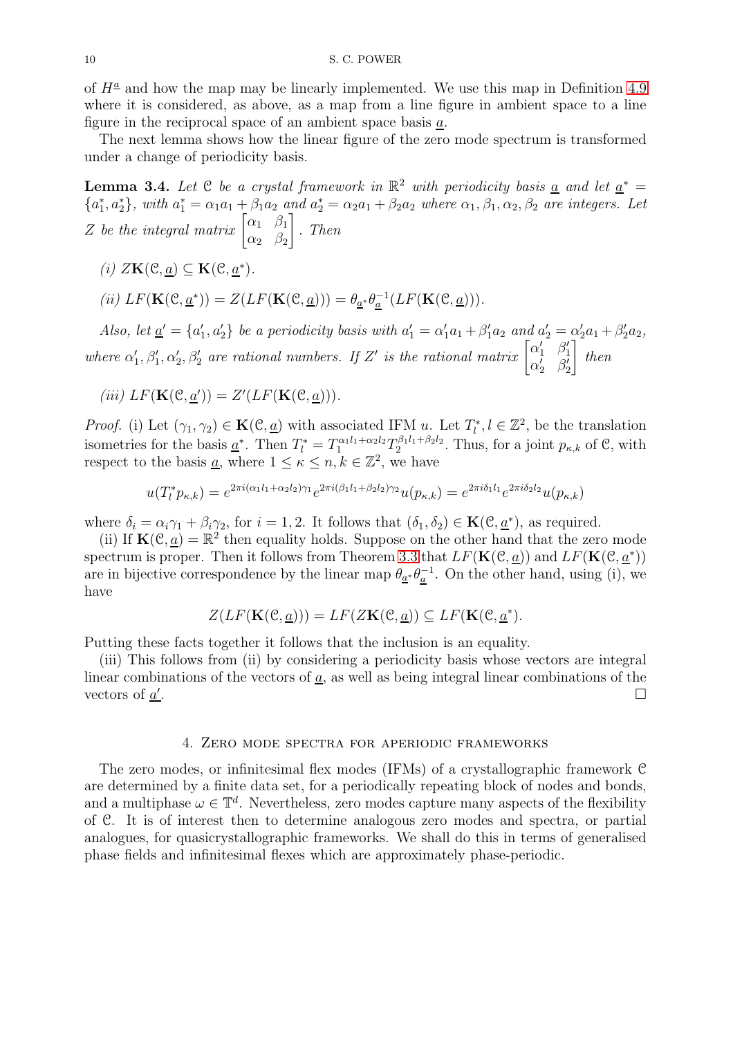of  $H^{\underline{a}}$  and how the map may be linearly implemented. We use this map in Definition [4.9](#page-15-2) where it is considered, as above, as a map from a line figure in ambient space to a line figure in the reciprocal space of an ambient space basis a.

The next lemma shows how the linear figure of the zero mode spectrum is transformed under a change of periodicity basis.

<span id="page-9-1"></span>**Lemma 3.4.** Let C be a crystal framework in  $\mathbb{R}^2$  with periodicity basis <u>a</u> and let  $\underline{a}^* =$  ${a_1^*, a_2^*},$  with  $a_1^* = \alpha_1 a_1 + \beta_1 a_2$  and  $a_2^* = \alpha_2 a_1 + \beta_2 a_2$  where  $\alpha_1, \beta_1, \alpha_2, \beta_2$  are integers. Let Z be the integral matrix  $\begin{bmatrix} \alpha_1 & \beta_1 \\ \alpha & \beta \end{bmatrix}$  $\alpha_2$   $\beta_2$ 1 . Then

- (i)  $Z\mathbf{K}(\mathcal{C}, \underline{a}) \subseteq \mathbf{K}(\mathcal{C}, \underline{a}^*)$ .
- (ii)  $LF(\mathbf{K}(\mathcal{C}, \underline{a}^*)) = Z(LF(\mathbf{K}(\mathcal{C}, \underline{a}))) = \theta_{\underline{a}^*} \theta_{\underline{a}}^{-1}(LF(\mathbf{K}(\mathcal{C}, \underline{a}))).$

Also, let  $\underline{a}' = \{a'_1, a'_2\}$  be a periodicity basis with  $a'_1 = \alpha'_1 a_1 + \beta'_1 a_2$  and  $a'_2 = \alpha'_2 a_1 + \beta'_2 a_2$ , where  $\alpha'_1, \beta'_1, \alpha'_2, \beta'_2$  are rational numbers. If Z' is the rational matrix  $\begin{bmatrix} \alpha'_1 & \beta'_1 \\ \alpha'_2 & \beta'_2 \end{bmatrix}$  $\alpha'_2$   $\beta'_2$ 1 then

$$
(iii) LF(K(\mathcal{C}, \underline{a}')) = Z'(LF(K(\mathcal{C}, \underline{a}))).
$$

*Proof.* (i) Let  $(\gamma_1, \gamma_2) \in \mathbf{K}(\mathcal{C}, \underline{a})$  with associated IFM u. Let  $T_l^*, l \in \mathbb{Z}^2$ , be the translation isometries for the basis  $\underline{a}^*$ . Then  $T_l^* = T_1^{\alpha_1 l_1 + \alpha_2 l_2} T_2^{\beta_1 l_1 + \beta_2 l_2}$ . Thus, for a joint  $p_{\kappa,k}$  of  $\mathcal{C}$ , with respect to the basis <u>a</u>, where  $1 \leq \kappa \leq n, k \in \mathbb{Z}^2$ , we have

$$
u(T_l^* p_{\kappa,k}) = e^{2\pi i (\alpha_1 l_1 + \alpha_2 l_2)\gamma_1} e^{2\pi i (\beta_1 l_1 + \beta_2 l_2)\gamma_2} u(p_{\kappa,k}) = e^{2\pi i \delta_1 l_1} e^{2\pi i \delta_2 l_2} u(p_{\kappa,k})
$$

where  $\delta_i = \alpha_i \gamma_1 + \beta_i \gamma_2$ , for  $i = 1, 2$ . It follows that  $(\delta_1, \delta_2) \in \mathbf{K}(\mathcal{C}, \underline{a}^*)$ , as required.

(ii) If  $\mathbf{K}(\mathcal{C}, \underline{a}) = \mathbb{R}^2$  then equality holds. Suppose on the other hand that the zero mode spectrum is proper. Then it follows from Theorem [3.3](#page-8-1) that  $LF(K(\mathcal{C}, \underline{a}))$  and  $LF(K(\mathcal{C}, \underline{a}^*))$ are in bijective correspondence by the linear map  $\theta_{\underline{a}^*} \theta_{\underline{a}}^{-1}$ . On the other hand, using (i), we have

$$
Z(LF(\mathbf{K}(\mathcal{C}, \underline{a}))) = LF(Z\mathbf{K}(\mathcal{C}, \underline{a})) \subseteq LF(\mathbf{K}(\mathcal{C}, \underline{a}^*).
$$

Putting these facts together it follows that the inclusion is an equality.

(iii) This follows from (ii) by considering a periodicity basis whose vectors are integral linear combinations of the vectors of  $\underline{a}$ , as well as being integral linear combinations of the vectors of  $\underline{a}^{\prime}$ .

#### 4. Zero mode spectra for aperiodic frameworks

<span id="page-9-0"></span>The zero modes, or infinitesimal flex modes (IFMs) of a crystallographic framework C are determined by a finite data set, for a periodically repeating block of nodes and bonds, and a multiphase  $\omega \in \mathbb{T}^d$ . Nevertheless, zero modes capture many aspects of the flexibility of C. It is of interest then to determine analogous zero modes and spectra, or partial analogues, for quasicrystallographic frameworks. We shall do this in terms of generalised phase fields and infinitesimal flexes which are approximately phase-periodic.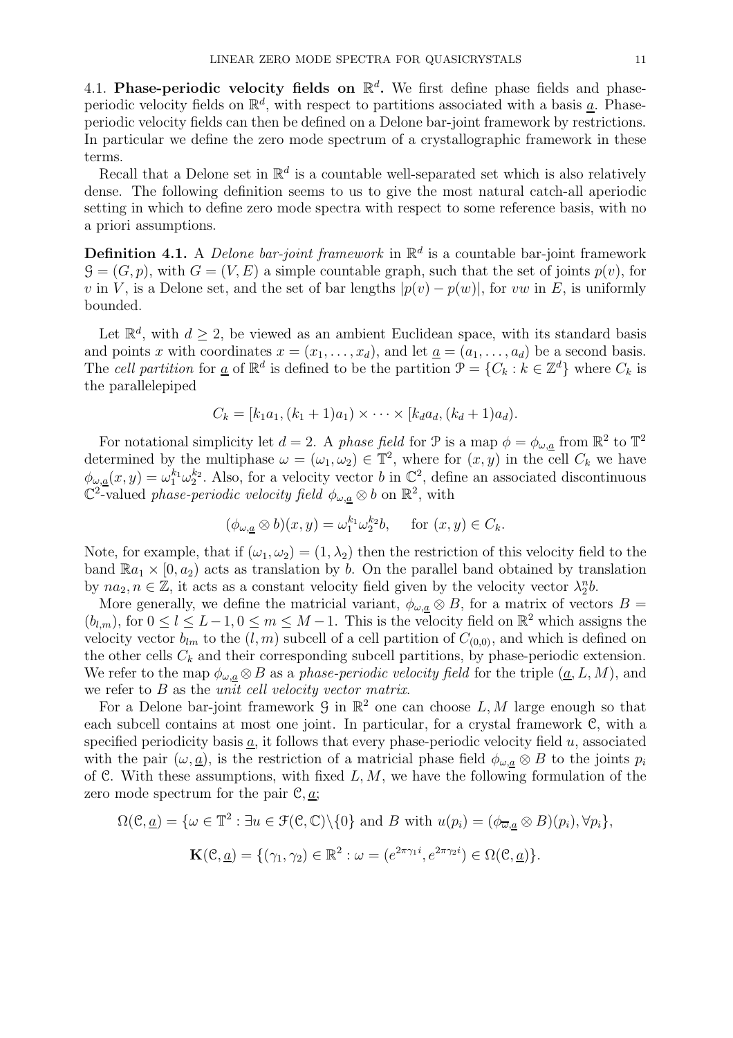4.1. Phase-periodic velocity fields on  $\mathbb{R}^d$ . We first define phase fields and phaseperiodic velocity fields on  $\mathbb{R}^d$ , with respect to partitions associated with a basis <u>a</u>. Phaseperiodic velocity fields can then be defined on a Delone bar-joint framework by restrictions. In particular we define the zero mode spectrum of a crystallographic framework in these terms.

Recall that a Delone set in  $\mathbb{R}^d$  is a countable well-separated set which is also relatively dense. The following definition seems to us to give the most natural catch-all aperiodic setting in which to define zero mode spectra with respect to some reference basis, with no a priori assumptions.

**Definition 4.1.** A *Delone bar-joint framework* in  $\mathbb{R}^d$  is a countable bar-joint framework  $G = (G, p)$ , with  $G = (V, E)$  a simple countable graph, such that the set of joints  $p(v)$ , for v in V, is a Delone set, and the set of bar lengths  $|p(v) - p(w)|$ , for vw in E, is uniformly bounded.

Let  $\mathbb{R}^d$ , with  $d \geq 2$ , be viewed as an ambient Euclidean space, with its standard basis and points x with coordinates  $x = (x_1, \ldots, x_d)$ , and let  $\underline{a} = (a_1, \ldots, a_d)$  be a second basis. The cell partition for <u>a</u> of  $\mathbb{R}^d$  is defined to be the partition  $\mathcal{P} = \{C_k : k \in \mathbb{Z}^d\}$  where  $C_k$  is the parallelepiped

$$
C_k = [k_1 a_1, (k_1 + 1)a_1) \times \cdots \times [k_d a_d, (k_d + 1)a_d).
$$

For notational simplicity let  $d=2$ . A phase field for  $\mathcal P$  is a map  $\phi=\phi_{\omega,\underline{a}}$  from  $\mathbb R^2$  to  $\mathbb T^2$ determined by the multiphase  $\omega = (\omega_1, \omega_2) \in \mathbb{T}^2$ , where for  $(x, y)$  in the cell  $C_k$  we have  $\phi_{\omega,\underline{a}}(x,y)=\omega_1^{k_1}\omega_2^{k_2}$ . Also, for a velocity vector b in  $\mathbb{C}^2$ , define an associated discontinuous  $\mathbb{C}^2$ -valued *phase-periodic velocity field*  $\phi_{\omega,\underline{a}} \otimes b$  on  $\mathbb{R}^2$ , with

$$
(\phi_{\omega,\underline{a}} \otimes b)(x,y) = \omega_1^{k_1} \omega_2^{k_2} b
$$
, for  $(x,y) \in C_k$ .

Note, for example, that if  $(\omega_1, \omega_2) = (1, \lambda_2)$  then the restriction of this velocity field to the band  $\mathbb{R}a_1 \times [0, a_2)$  acts as translation by b. On the parallel band obtained by translation by  $na_2, n \in \mathbb{Z}$ , it acts as a constant velocity field given by the velocity vector  $\lambda_2^n b$ .

More generally, we define the matricial variant,  $\phi_{\omega,a} \otimes B$ , for a matrix of vectors  $B =$  $(b_{l,m})$ , for  $0 \le l \le L-1, 0 \le m \le M-1$ . This is the velocity field on  $\mathbb{R}^2$  which assigns the velocity vector  $b_{lm}$  to the  $(l, m)$  subcell of a cell partition of  $C_{(0,0)}$ , and which is defined on the other cells  $C_k$  and their corresponding subcell partitions, by phase-periodic extension. We refer to the map  $\phi_{\omega,a} \otimes B$  as a phase-periodic velocity field for the triple  $(\underline{a}, L, M)$ , and we refer to  $B$  as the *unit cell velocity vector matrix*.

For a Delone bar-joint framework  $\mathcal G$  in  $\mathbb R^2$  one can choose  $L, M$  large enough so that each subcell contains at most one joint. In particular, for a crystal framework C, with a specified periodicity basis  $\underline{a}$ , it follows that every phase-periodic velocity field u, associated with the pair  $(\omega, \underline{a})$ , is the restriction of a matricial phase field  $\phi_{\omega, \underline{a}} \otimes B$  to the joints  $p_i$ of C. With these assumptions, with fixed  $L, M$ , we have the following formulation of the zero mode spectrum for the pair  $\mathcal{C}, \underline{a}$ ;

$$
\Omega(\mathcal{C}, \underline{a}) = \{ \omega \in \mathbb{T}^2 : \exists u \in \mathcal{F}(\mathcal{C}, \mathbb{C}) \setminus \{0\} \text{ and } B \text{ with } u(p_i) = (\phi_{\overline{\omega}, \underline{a}} \otimes B)(p_i), \forall p_i \},\
$$

$$
\mathbf{K}(\mathcal{C}, \underline{a}) = \{ (\gamma_1, \gamma_2) \in \mathbb{R}^2 : \omega = (e^{2\pi \gamma_1 i}, e^{2\pi \gamma_2 i}) \in \Omega(\mathcal{C}, \underline{a}) \}.
$$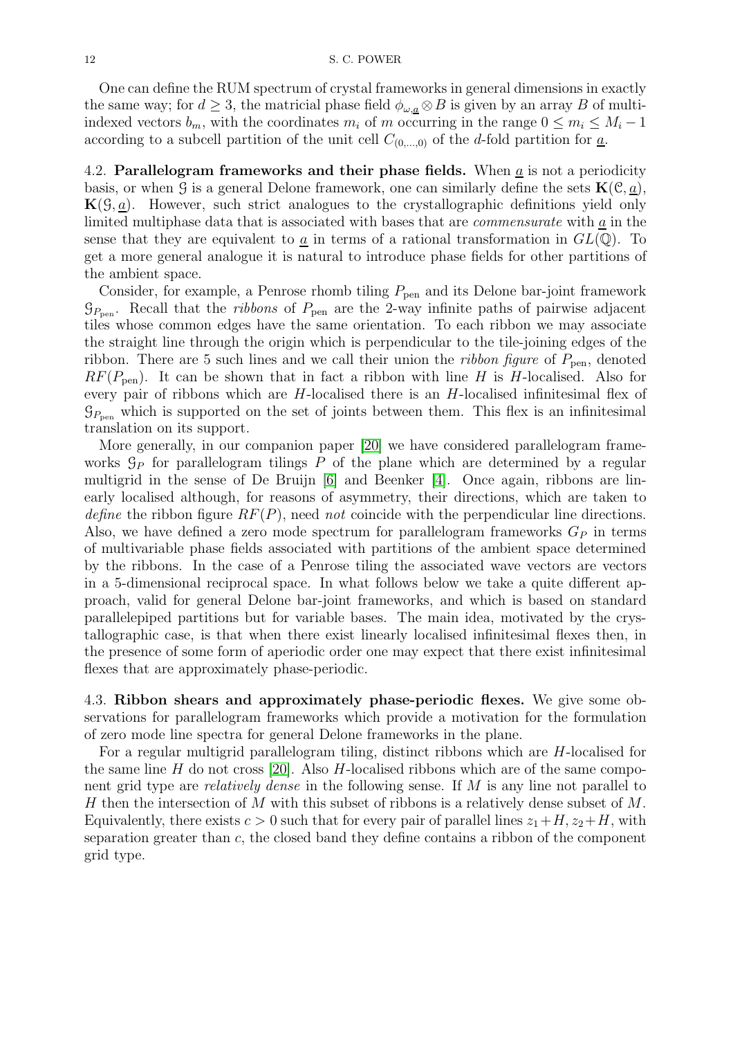One can define the RUM spectrum of crystal frameworks in general dimensions in exactly the same way; for  $d \geq 3$ , the matricial phase field  $\phi_{\omega,a} \otimes B$  is given by an array B of multiindexed vectors  $b_m$ , with the coordinates  $m_i$  of m occurring in the range  $0 \le m_i \le M_i - 1$ according to a subcell partition of the unit cell  $C_{(0,...,0)}$  of the d-fold partition for  $\underline{a}$ .

<span id="page-11-1"></span>4.2. Parallelogram frameworks and their phase fields. When  $a$  is not a periodicity basis, or when G is a general Delone framework, one can similarly define the sets  $\mathbf{K}(\mathcal{C}, \underline{a})$ ,  $K(\mathcal{G}, a)$ . However, such strict analogues to the crystallographic definitions yield only limited multiphase data that is associated with bases that are commensurate with a in the sense that they are equivalent to  $\underline{a}$  in terms of a rational transformation in  $GL(\mathbb{Q})$ . To get a more general analogue it is natural to introduce phase fields for other partitions of the ambient space.

Consider, for example, a Penrose rhomb tiling  $P_{pen}$  and its Delone bar-joint framework  $\mathcal{G}_{P_{\text{pen}}}$ . Recall that the *ribbons* of  $P_{\text{pen}}$  are the 2-way infinite paths of pairwise adjacent tiles whose common edges have the same orientation. To each ribbon we may associate the straight line through the origin which is perpendicular to the tile-joining edges of the ribbon. There are 5 such lines and we call their union the *ribbon figure* of  $P_{pen}$ , denoted  $RF(P_{pen})$ . It can be shown that in fact a ribbon with line H is H-localised. Also for every pair of ribbons which are H-localised there is an H-localised infinitesimal flex of  $\mathcal{G}_{P_{\text{pen}}}$  which is supported on the set of joints between them. This flex is an infinitesimal translation on its support.

More generally, in our companion paper [\[20\]](#page-20-12) we have considered parallelogram frameworks  $\mathcal{G}_P$  for parallelogram tilings P of the plane which are determined by a regular multigrid in the sense of De Bruijn [\[6\]](#page-19-3) and Beenker [\[4\]](#page-19-4). Once again, ribbons are linearly localised although, for reasons of asymmetry, their directions, which are taken to define the ribbon figure  $RF(P)$ , need not coincide with the perpendicular line directions. Also, we have defined a zero mode spectrum for parallelogram frameworks  $G_P$  in terms of multivariable phase fields associated with partitions of the ambient space determined by the ribbons. In the case of a Penrose tiling the associated wave vectors are vectors in a 5-dimensional reciprocal space. In what follows below we take a quite different approach, valid for general Delone bar-joint frameworks, and which is based on standard parallelepiped partitions but for variable bases. The main idea, motivated by the crystallographic case, is that when there exist linearly localised infinitesimal flexes then, in the presence of some form of aperiodic order one may expect that there exist infinitesimal flexes that are approximately phase-periodic.

<span id="page-11-0"></span>4.3. Ribbon shears and approximately phase-periodic flexes. We give some observations for parallelogram frameworks which provide a motivation for the formulation of zero mode line spectra for general Delone frameworks in the plane.

For a regular multigrid parallelogram tiling, distinct ribbons which are H-localised for the same line H do not cross [\[20\]](#page-20-12). Also H-localised ribbons which are of the same component grid type are relatively dense in the following sense. If M is any line not parallel to H then the intersection of M with this subset of ribbons is a relatively dense subset of M. Equivalently, there exists  $c > 0$  such that for every pair of parallel lines  $z_1 + H$ ,  $z_2 + H$ , with separation greater than  $c$ , the closed band they define contains a ribbon of the component grid type.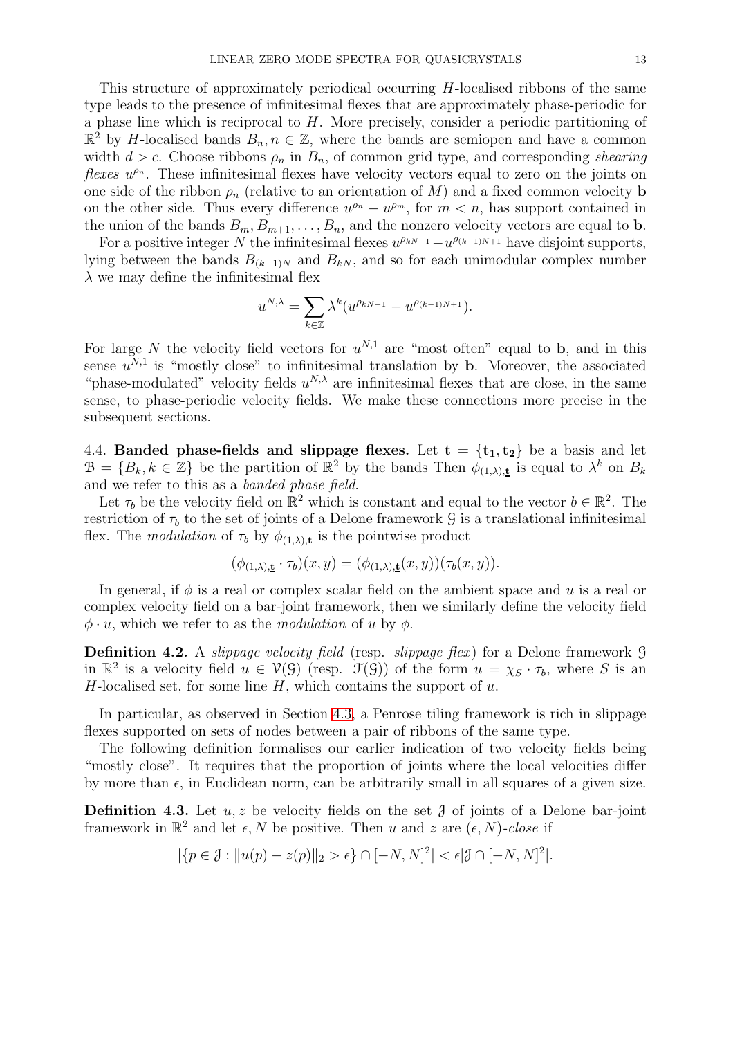This structure of approximately periodical occurring H-localised ribbons of the same type leads to the presence of infinitesimal flexes that are approximately phase-periodic for a phase line which is reciprocal to H. More precisely, consider a periodic partitioning of  $\mathbb{R}^2$  by H-localised bands  $B_n, n \in \mathbb{Z}$ , where the bands are semiopen and have a common width  $d > c$ . Choose ribbons  $\rho_n$  in  $B_n$ , of common grid type, and corresponding shearing *flexes*  $u^{\rho_n}$ . These infinitesimal flexes have velocity vectors equal to zero on the joints on one side of the ribbon  $\rho_n$  (relative to an orientation of M) and a fixed common velocity **b** on the other side. Thus every difference  $u^{\rho_n} - u^{\rho_m}$ , for  $m < n$ , has support contained in the union of the bands  $B_m, B_{m+1}, \ldots, B_n$ , and the nonzero velocity vectors are equal to **b**.

For a positive integer N the infinitesimal flexes  $u^{\rho_{kN-1}} - u^{\rho_{(k-1)N+1}}$  have disjoint supports, lying between the bands  $B_{(k-1)N}$  and  $B_{kN}$ , and so for each unimodular complex number  $\lambda$  we may define the infinitesimal flex

$$
u^{N,\lambda} = \sum_{k \in \mathbb{Z}} \lambda^k (u^{\rho_{kN-1}} - u^{\rho_{(k-1)N+1}}).
$$

For large N the velocity field vectors for  $u^{N,1}$  are "most often" equal to b, and in this sense  $u^{N,1}$  is "mostly close" to infinitesimal translation by **b**. Moreover, the associated "phase-modulated" velocity fields  $u^{N,\lambda}$  are infinitesimal flexes that are close, in the same sense, to phase-periodic velocity fields. We make these connections more precise in the subsequent sections.

4.4. Banded phase-fields and slippage flexes. Let  $\underline{t} = \{t_1, t_2\}$  be a basis and let  $\mathcal{B} = \{B_k, k \in \mathbb{Z}\}\$ be the partition of  $\mathbb{R}^2$  by the bands Then  $\phi_{(1,\lambda),\underline{\mathbf{t}}}$  is equal to  $\lambda^k$  on  $B_k$ and we refer to this as a banded phase field.

Let  $\tau_b$  be the velocity field on  $\mathbb{R}^2$  which is constant and equal to the vector  $b \in \mathbb{R}^2$ . The restriction of  $\tau_b$  to the set of joints of a Delone framework G is a translational infinitesimal flex. The modulation of  $\tau_b$  by  $\phi_{(1,\lambda),\underline{t}}$  is the pointwise product

$$
(\phi_{(1,\lambda),\underline{\mathbf{t}}} \cdot \tau_b)(x,y) = (\phi_{(1,\lambda),\underline{\mathbf{t}}}(x,y))(\tau_b(x,y)).
$$

In general, if  $\phi$  is a real or complex scalar field on the ambient space and u is a real or complex velocity field on a bar-joint framework, then we similarly define the velocity field  $\phi \cdot u$ , which we refer to as the *modulation* of u by  $\phi$ .

**Definition 4.2.** A *slippage velocity field* (resp. *slippage flex*) for a Delone framework  $\mathcal{G}$ in  $\mathbb{R}^2$  is a velocity field  $u \in \mathcal{V}(\mathcal{G})$  (resp.  $\mathcal{F}(\mathcal{G})$ ) of the form  $u = \chi_S \cdot \tau_b$ , where S is an H-localised set, for some line  $H$ , which contains the support of  $u$ .

In particular, as observed in Section [4.3,](#page-11-0) a Penrose tiling framework is rich in slippage flexes supported on sets of nodes between a pair of ribbons of the same type.

The following definition formalises our earlier indication of two velocity fields being "mostly close". It requires that the proportion of joints where the local velocities differ by more than  $\epsilon$ , in Euclidean norm, can be arbitrarily small in all squares of a given size.

<span id="page-12-0"></span>**Definition 4.3.** Let  $u, z$  be velocity fields on the set  $\mathcal{J}$  of joints of a Delone bar-joint framework in  $\mathbb{R}^2$  and let  $\epsilon, N$  be positive. Then u and z are  $(\epsilon, N)$ -close if

$$
|\{p\in\mathcal{J}: \|u(p)-z(p)\|_2>\epsilon\}\cap[-N,N]^2|<\epsilon|\mathcal{J}\cap[-N,N]^2|.
$$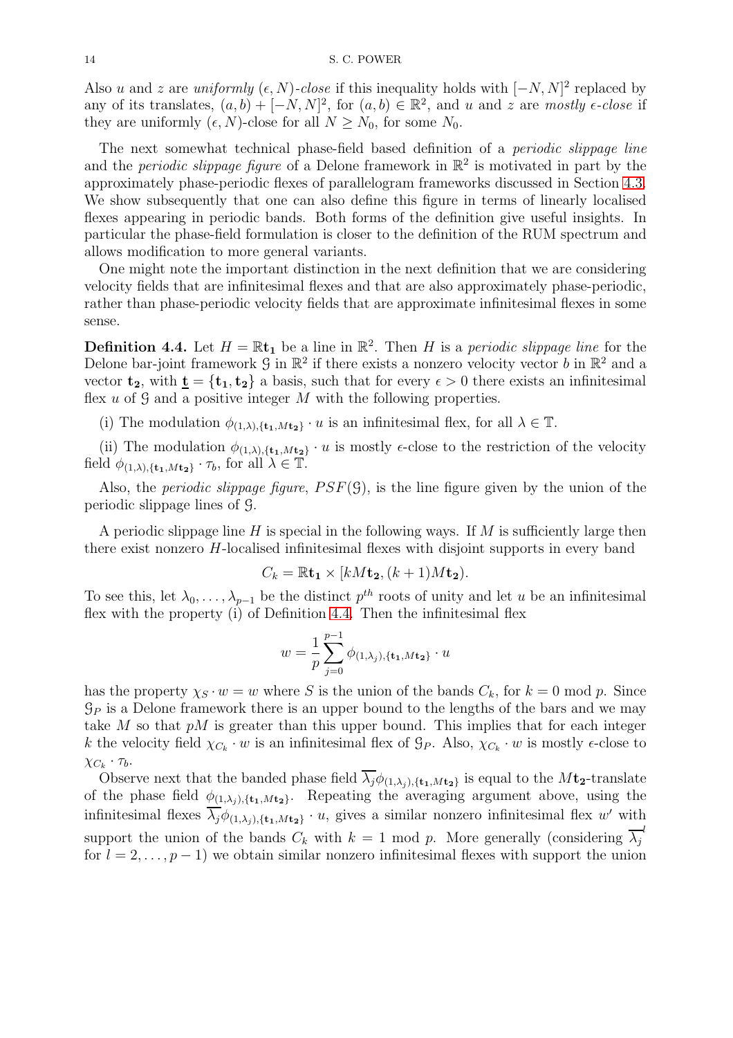Also u and z are uniformly  $(\epsilon, N)$ -close if this inequality holds with  $[-N, N]^2$  replaced by any of its translates,  $(a, b) + [-N, N]^2$ , for  $(a, b) \in \mathbb{R}^2$ , and u and z are mostly  $\epsilon$ -close if they are uniformly  $(\epsilon, N)$ -close for all  $N \geq N_0$ , for some  $N_0$ .

The next somewhat technical phase-field based definition of a periodic slippage line and the *periodic slippage figure* of a Delone framework in  $\mathbb{R}^2$  is motivated in part by the approximately phase-periodic flexes of parallelogram frameworks discussed in Section [4.3.](#page-11-0) We show subsequently that one can also define this figure in terms of linearly localised flexes appearing in periodic bands. Both forms of the definition give useful insights. In particular the phase-field formulation is closer to the definition of the RUM spectrum and allows modification to more general variants.

One might note the important distinction in the next definition that we are considering velocity fields that are infinitesimal flexes and that are also approximately phase-periodic, rather than phase-periodic velocity fields that are approximate infinitesimal flexes in some sense.

<span id="page-13-0"></span>**Definition 4.4.** Let  $H = \mathbb{R}$ t<sub>1</sub> be a line in  $\mathbb{R}^2$ . Then H is a periodic slippage line for the Delone bar-joint framework  $\mathcal G$  in  $\mathbb R^2$  if there exists a nonzero velocity vector b in  $\mathbb R^2$  and a vector  $t_2$ , with  $\underline{t} = \{t_1, t_2\}$  a basis, such that for every  $\epsilon > 0$  there exists an infinitesimal flex  $u$  of  $\mathcal G$  and a positive integer  $M$  with the following properties.

(i) The modulation  $\phi_{(1,\lambda),\{\mathbf{t}_1,M\mathbf{t}_2\}}\cdot u$  is an infinitesimal flex, for all  $\lambda \in \mathbb{T}$ .

(ii) The modulation  $\phi_{(1,\lambda),\{\mathbf{t_1},M\mathbf{t_2}\}}\cdot u$  is mostly  $\epsilon$ -close to the restriction of the velocity field  $\phi_{(1,\lambda),\{\mathbf{t}_1,M\mathbf{t}_2\}} \cdot \tau_b$ , for all  $\lambda \in \mathbb{T}$ .

Also, the *periodic slippage figure,*  $PSF(\mathcal{G})$ *,* is the line figure given by the union of the periodic slippage lines of G.

A periodic slippage line H is special in the following ways. If  $M$  is sufficiently large then there exist nonzero H-localised infinitesimal flexes with disjoint supports in every band

$$
C_k = \mathbb{R} \mathbf{t}_1 \times [kM\mathbf{t}_2, (k+1)M\mathbf{t}_2).
$$

To see this, let  $\lambda_0, \ldots, \lambda_{p-1}$  be the distinct  $p^{th}$  roots of unity and let u be an infinitesimal flex with the property (i) of Definition [4.4.](#page-13-0) Then the infinitesimal flex

$$
w = \frac{1}{p} \sum_{j=0}^{p-1} \phi_{(1,\lambda_j),\{\mathbf{t_1},M\mathbf{t_2}\}} \cdot u
$$

has the property  $\chi_S \cdot w = w$  where S is the union of the bands  $C_k$ , for  $k = 0 \mod p$ . Since  $\mathcal{G}_P$  is a Delone framework there is an upper bound to the lengths of the bars and we may take M so that  $pM$  is greater than this upper bound. This implies that for each integer k the velocity field  $\chi_{C_k} \cdot w$  is an infinitesimal flex of  $\mathcal{G}_P$ . Also,  $\chi_{C_k} \cdot w$  is mostly  $\epsilon$ -close to  $\chi_{C_k} \cdot \tau_b$ .

Observe next that the banded phase field  $\overline{\lambda_j}\phi_{(1,\lambda_j),\{\mathbf{t}_1,M\mathbf{t}_2\}}$  is equal to the  $M\mathbf{t}_2$ -translate of the phase field  $\phi_{(1,\lambda_i),\{\mathbf{t}_1,M\mathbf{t}_2\}}$ . Repeating the averaging argument above, using the infinitesimal flexes  $\overline{\lambda_j}\phi_{(1,\lambda_j),\{\mathbf{t_1},M\mathbf{t_2}\}}\cdot u$ , gives a similar nonzero infinitesimal flex w' with support the union of the bands  $C_k$  with  $k = 1 \mod p$ . More generally (considering  $\overline{\lambda}_j^{-l}$ for  $l = 2, \ldots, p - 1$ ) we obtain similar nonzero infinitesimal flexes with support the union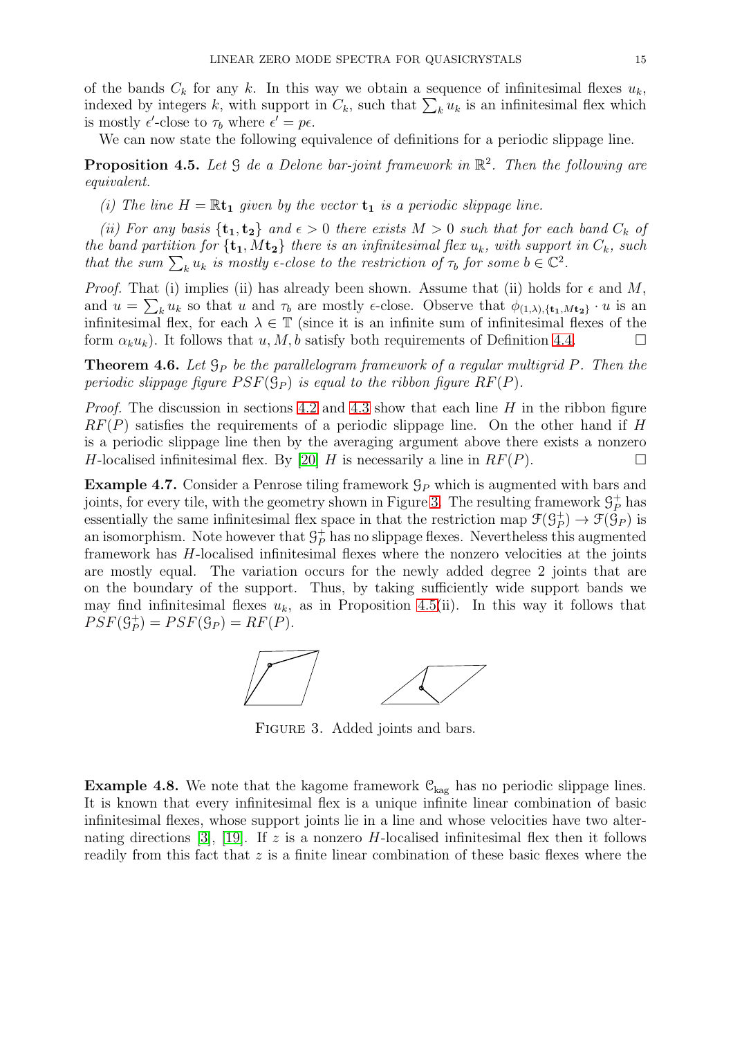of the bands  $C_k$  for any k. In this way we obtain a sequence of infinitesimal flexes  $u_k$ , indexed by integers k, with support in  $C_k$ , such that  $\sum_k u_k$  is an infinitesimal flex which is mostly  $\epsilon'$ -close to  $\tau_b$  where  $\epsilon' = p\epsilon$ .

We can now state the following equivalence of definitions for a periodic slippage line.

<span id="page-14-1"></span>**Proposition 4.5.** Let  $\mathcal G$  de a Delone bar-joint framework in  $\mathbb{R}^2$ . Then the following are equivalent.

(i) The line  $H = \mathbb{R}$ t<sub>1</sub> given by the vector  $t_1$  is a periodic slippage line.

(ii) For any basis  $\{t_1, t_2\}$  and  $\epsilon > 0$  there exists  $M > 0$  such that for each band  $C_k$  of the band partition for  $\{t_1, Mt_2\}$  there is an infinitesimal flex  $u_k$ , with support in  $C_k$ , such that the sum  $\sum_k u_k$  is mostly  $\epsilon$ -close to the restriction of  $\tau_b$  for some  $b \in \mathbb{C}^2$ .

*Proof.* That (i) implies (ii) has already been shown. Assume that (ii) holds for  $\epsilon$  and M, and  $u = \sum_k u_k$  so that u and  $\tau_b$  are mostly  $\epsilon$ -close. Observe that  $\phi_{(1,\lambda),\{\mathbf{t}_1,M\mathbf{t}_2\}} \cdot u$  is an infinitesimal flex, for each  $\lambda \in \mathbb{T}$  (since it is an infinite sum of infinitesimal flexes of the form  $\alpha_k u_k$ ). It follows that u, M, b satisfy both requirements of Definition [4.4.](#page-13-0)

<span id="page-14-2"></span>**Theorem 4.6.** Let  $\mathcal{G}_P$  be the parallelogram framework of a regular multigrid P. Then the periodic slippage figure  $PSF(\mathcal{G}_P)$  is equal to the ribbon figure  $RF(P)$ .

*Proof.* The discussion in sections [4.2](#page-11-1) and [4.3](#page-11-0) show that each line  $H$  in the ribbon figure  $RF(P)$  satisfies the requirements of a periodic slippage line. On the other hand if H is a periodic slippage line then by the averaging argument above there exists a nonzero H-localised infinitesimal flex. By [\[20\]](#page-20-12) H is necessarily a line in  $RF(P)$ .

<span id="page-14-3"></span>**Example 4.7.** Consider a Penrose tiling framework  $\mathcal{G}_P$  which is augmented with bars and joints, for every tile, with the geometry shown in Figure [3.](#page-14-0) The resulting framework  $\mathcal{G}_P^+$  has essentially the same infinitesimal flex space in that the restriction map  $\mathcal{F}(\mathcal{G}_P^+)$  $_{P}^{+}$ )  $\rightarrow$   $\mathfrak{F}(\mathcal{G}_{P})$  is an isomorphism. Note however that  $\mathcal{G}_P^+$  has no slippage flexes. Nevertheless this augmented framework has H-localised infinitesimal flexes where the nonzero velocities at the joints are mostly equal. The variation occurs for the newly added degree 2 joints that are on the boundary of the support. Thus, by taking sufficiently wide support bands we may find infinitesimal flexes  $u_k$ , as in Proposition [4.5\(](#page-14-1)ii). In this way it follows that  $PSF(\mathcal{G}_{P}^+)$  $P_{P}^{+}$ ) =  $PSF(\mathcal{G}_{P}) = RF(P)$ .

<span id="page-14-0"></span>

Figure 3. Added joints and bars.

<span id="page-14-4"></span>**Example 4.8.** We note that the kagome framework  $\mathcal{C}_{\text{kag}}$  has no periodic slippage lines. It is known that every infinitesimal flex is a unique infinite linear combination of basic infinitesimal flexes, whose support joints lie in a line and whose velocities have two alter-nating directions [\[3\]](#page-19-0), [\[19\]](#page-20-3). If z is a nonzero H-localised infinitesimal flex then it follows readily from this fact that z is a finite linear combination of these basic flexes where the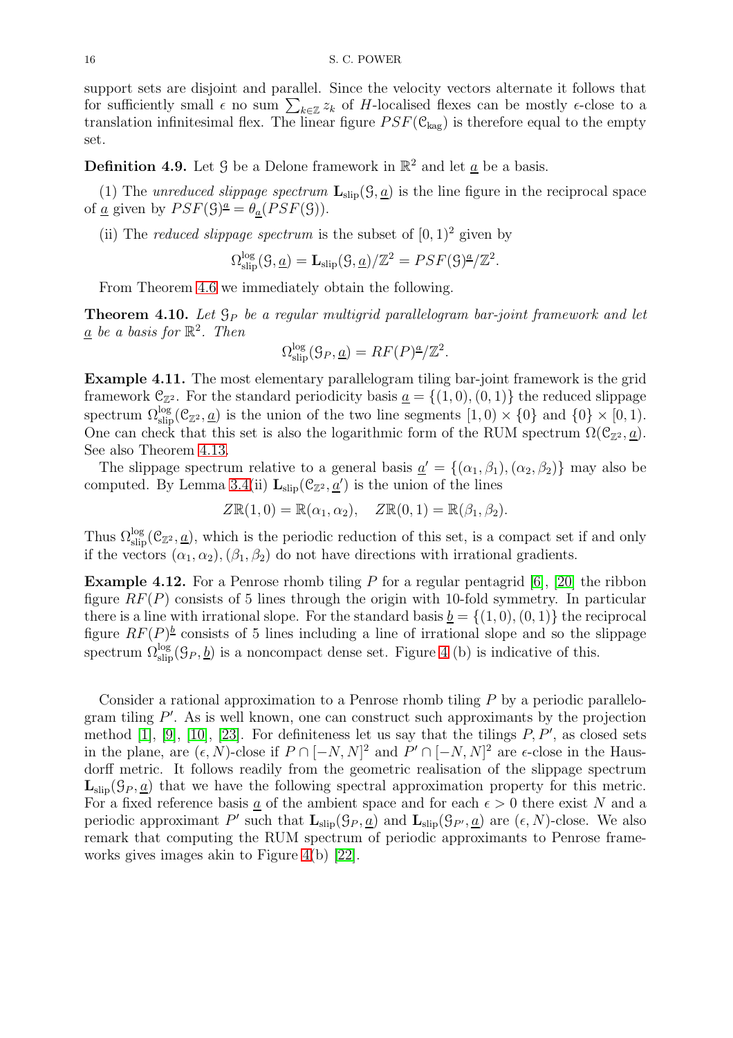support sets are disjoint and parallel. Since the velocity vectors alternate it follows that for sufficiently small  $\epsilon$  no sum  $\sum_{k\in\mathbb{Z}}z_k$  of H-localised flexes can be mostly  $\epsilon$ -close to a translation infinitesimal flex. The linear figure  $PSF(\mathcal{C}_{\text{kag}})$  is therefore equal to the empty set.

<span id="page-15-2"></span>**Definition 4.9.** Let  $\mathcal{G}$  be a Delone framework in  $\mathbb{R}^2$  and let  $\underline{a}$  be a basis.

(1) The unreduced slippage spectrum  $\mathbf{L}_{\text{slip}}(\mathcal{G}, \underline{a})$  is the line figure in the reciprocal space of <u>a</u> given by  $PSF(\mathcal{G})^{\underline{a}} = \theta_{\underline{a}}(PSF(\mathcal{G}))$ .

(ii) The *reduced slippage spectrum* is the subset of  $[0, 1)^2$  given by

$$
\Omega_{\text{slip}}^{\log}(\mathcal{G}, \underline{a}) = \mathbf{L}_{\text{slip}}(\mathcal{G}, \underline{a})/\mathbb{Z}^2 = PSF(\mathcal{G})^{\underline{a}}/\mathbb{Z}^2.
$$

From Theorem [4.6](#page-14-2) we immediately obtain the following.

<span id="page-15-0"></span>**Theorem 4.10.** Let  $\mathcal{G}_P$  be a regular multigrid parallelogram bar-joint framework and let  $\underline{a}$  be a basis for  $\mathbb{R}^2$ . Then

$$
\Omega_{\text{slip}}^{\log}(\mathcal{G}_P, \underline{a}) = RF(P)^{\underline{a}}/\mathbb{Z}^2.
$$

Example 4.11. The most elementary parallelogram tiling bar-joint framework is the grid framework  $\mathcal{C}_{\mathbb{Z}^2}$ . For the standard periodicity basis  $\underline{a} = \{(1,0), (0,1)\}\$  the reduced slippage spectrum  $\Omega_{\text{slip}}^{\log}(\mathcal{C}_{\mathbb{Z}^2}, \underline{a})$  is the union of the two line segments  $[1, 0) \times \{0\}$  and  $\{0\} \times [0, 1)$ . One can check that this set is also the logarithmic form of the RUM spectrum  $\Omega(\mathcal{C}_{\mathbb{Z}^2}, \underline{a})$ . See also Theorem [4.13.](#page-16-0)

The slippage spectrum relative to a general basis  $\underline{a}' = \{(\alpha_1, \beta_1), (\alpha_2, \beta_2)\}\$  may also be computed. By Lemma [3.4\(](#page-9-1)ii)  $\mathbf{L}_{\text{slip}}(\mathcal{C}_{\mathbb{Z}^2}, \underline{a}')$  is the union of the lines

$$
Z\mathbb{R}(1,0) = \mathbb{R}(\alpha_1,\alpha_2), \quad Z\mathbb{R}(0,1) = \mathbb{R}(\beta_1,\beta_2).
$$

Thus  $\Omega_{\rm slip}^{\log}(\mathcal{C}_{\mathbb{Z}^2},\underline{a})$ , which is the periodic reduction of this set, is a compact set if and only if the vectors  $(\alpha_1, \alpha_2), (\beta_1, \beta_2)$  do not have directions with irrational gradients.

<span id="page-15-1"></span>**Example 4.12.** For a Penrose rhomb tiling P for a regular pentagrid  $[6]$ ,  $[20]$  the ribbon figure  $RF(P)$  consists of 5 lines through the origin with 10-fold symmetry. In particular there is a line with irrational slope. For the standard basis  $\underline{b} = \{(1,0), (0,1)\}\$ the reciprocal figure  $RF(P)^{\underline{b}}$  consists of 5 lines including a line of irrational slope and so the slippage spectrum  $\Omega_{\rm slip}^{\log}(\mathcal{G}_P, \underline{b})$  is a noncompact dense set. Figure [4](#page-16-1) (b) is indicative of this.

Consider a rational approximation to a Penrose rhomb tiling P by a periodic parallelogram tiling  $P'$ . As is well known, one can construct such approximants by the projection method  $[1]$ ,  $[9]$ ,  $[10]$ ,  $[23]$ . For definiteness let us say that the tilings  $P, P'$ , as closed sets in the plane, are  $(\epsilon, N)$ -close if  $P \cap [-N, N]^2$  and  $P' \cap [-N, N]^2$  are  $\epsilon$ -close in the Hausdorff metric. It follows readily from the geometric realisation of the slippage spectrum  $\mathbf{L}_{\text{slip}}(\mathcal{G}_P, a)$  that we have the following spectral approximation property for this metric. For a fixed reference basis a of the ambient space and for each  $\epsilon > 0$  there exist N and a periodic approximant P' such that  $\mathbf{L}_{\text{slip}}(\mathcal{G}_P, \underline{a})$  and  $\mathbf{L}_{\text{slip}}(\mathcal{G}_{P'}, \underline{a})$  are  $(\epsilon, N)$ -close. We also remark that computing the RUM spectrum of periodic approximants to Penrose frameworks gives images akin to Figure [4\(](#page-16-1)b) [\[22\]](#page-20-18).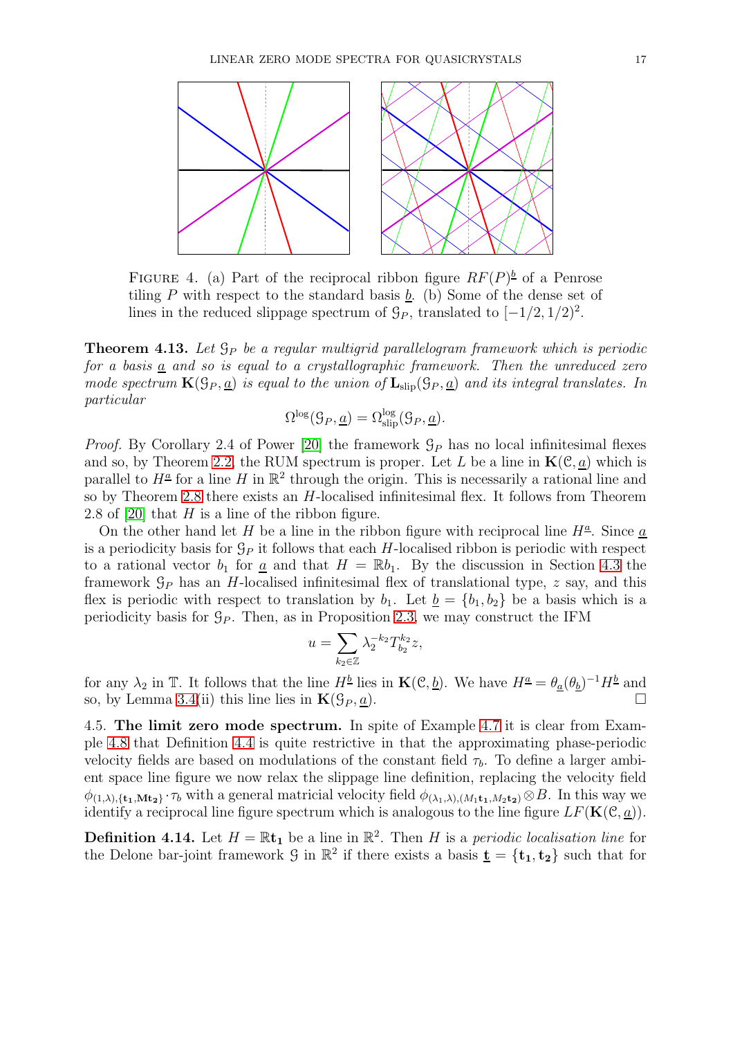<span id="page-16-1"></span>

FIGURE 4. (a) Part of the reciprocal ribbon figure  $RF(P)^{\underline{b}}$  of a Penrose tiling  $P$  with respect to the standard basis  $b$ . (b) Some of the dense set of lines in the reduced slippage spectrum of  $\mathcal{G}_P$ , translated to  $[-1/2, 1/2)^2$ .

<span id="page-16-0"></span>**Theorem 4.13.** Let  $\mathcal{G}_P$  be a regular multigrid parallelogram framework which is periodic for a basis  $\underline{a}$  and so is equal to a crystallographic framework. Then the unreduced zero mode spectrum  $\mathbf{K}(\mathcal{G}_P, \underline{a})$  is equal to the union of  $\mathbf{L}_{\text{slip}}(\mathcal{G}_P, \underline{a})$  and its integral translates. In particular

$$
\Omega^{\log}(\mathcal{G}_P, \underline{a}) = \Omega^{\log}_{\text{slip}}(\mathcal{G}_P, \underline{a}).
$$

*Proof.* By Corollary 2.4 of Power [\[20\]](#page-20-12) the framework  $\mathcal{G}_P$  has no local infinitesimal flexes and so, by Theorem [2.2,](#page-4-1) the RUM spectrum is proper. Let L be a line in  $\mathbf{K}(\mathcal{C}, \underline{a})$  which is parallel to  $H^{\underline{a}}$  for a line H in  $\mathbb{R}^2$  through the origin. This is necessarily a rational line and so by Theorem [2.8](#page-7-0) there exists an H-localised infinitesimal flex. It follows from Theorem 2.8 of [\[20\]](#page-20-12) that  $H$  is a line of the ribbon figure.

On the other hand let H be a line in the ribbon figure with reciprocal line  $H^{\underline{a}}$ . Since  $\underline{a}$ is a periodicity basis for  $\mathcal{G}_P$  it follows that each H-localised ribbon is periodic with respect to a rational vector  $b_1$  for  $\underline{a}$  and that  $H = \mathbb{R}b_1$ . By the discussion in Section [4.3](#page-11-0) the framework  $\mathcal{G}_P$  has an H-localised infinitesimal flex of translational type, z say, and this flex is periodic with respect to translation by  $b_1$ . Let  $b = \{b_1, b_2\}$  be a basis which is a periodicity basis for  $\mathcal{G}_P$ . Then, as in Proposition [2.3,](#page-4-0) we may construct the IFM

$$
u=\sum_{k_2\in\mathbb{Z}}\lambda_2^{-k_2}T_{b_2}^{k_2}z,
$$

for any  $\lambda_2$  in T. It follows that the line  $H^{\underline{b}}$  lies in  $\mathbf{K}(\mathcal{C}, \underline{b})$ . We have  $H^{\underline{a}} = \theta_{\underline{a}}(\theta_{\underline{b}})^{-1}H^{\underline{b}}$  and so, by Lemma [3.4\(](#page-9-1)ii) this line lies in  $\mathbf{K}(\mathcal{G}_P, \underline{a})$ .

4.5. The limit zero mode spectrum. In spite of Example [4.7](#page-14-3) it is clear from Example [4.8](#page-14-4) that Definition [4.4](#page-13-0) is quite restrictive in that the approximating phase-periodic velocity fields are based on modulations of the constant field  $\tau_b$ . To define a larger ambient space line figure we now relax the slippage line definition, replacing the velocity field  $\phi_{(1,\lambda),\{\mathbf{t_1},\mathbf{Mt_2}\}}\cdot\tau_b$  with a general matricial velocity field  $\phi_{(\lambda_1,\lambda),(M_1\mathbf{t_1},M_2\mathbf{t_2})}\otimes B$ . In this way we identify a reciprocal line figure spectrum which is analogous to the line figure  $LF(K(\mathcal{C}, \underline{a}))$ .

<span id="page-16-2"></span>**Definition 4.14.** Let  $H = \mathbb{R}$ t<sub>1</sub> be a line in  $\mathbb{R}^2$ . Then H is a periodic localisation line for the Delone bar-joint framework  $\mathcal G$  in  $\mathbb R^2$  if there exists a basis  $\underline{\mathbf{t}} = {\mathbf{t}_1, \mathbf{t}_2}$  such that for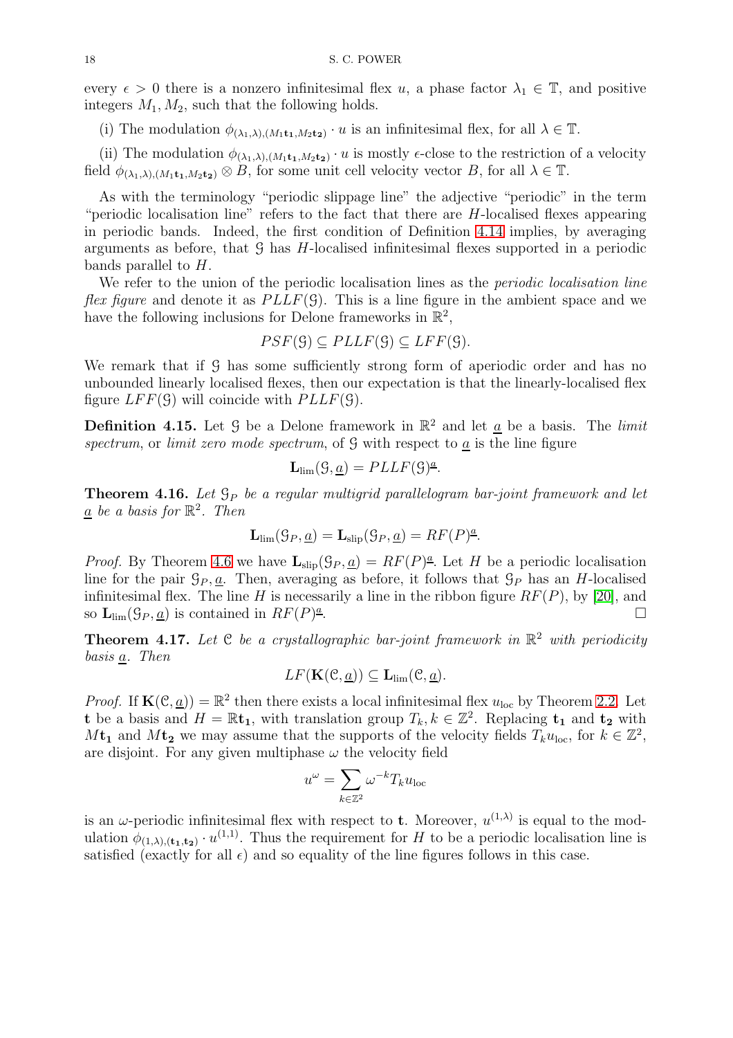every  $\epsilon > 0$  there is a nonzero infinitesimal flex u, a phase factor  $\lambda_1 \in \mathbb{T}$ , and positive integers  $M_1, M_2$ , such that the following holds.

(i) The modulation  $\phi_{(\lambda_1,\lambda),(M_1\mathbf{t}_1,M_2\mathbf{t}_2)}\cdot u$  is an infinitesimal flex, for all  $\lambda \in \mathbb{T}$ .

(ii) The modulation  $\phi_{(\lambda_1,\lambda),(M_1\mathbf{t}_1,M_2\mathbf{t}_2)}\cdot u$  is mostly  $\epsilon$ -close to the restriction of a velocity field  $\phi_{(\lambda_1,\lambda),(M_1\mathbf{t}_1,M_2\mathbf{t}_2)} \otimes B$ , for some unit cell velocity vector B, for all  $\lambda \in \mathbb{T}$ .

As with the terminology "periodic slippage line" the adjective "periodic" in the term "periodic localisation line" refers to the fact that there are  $H$ -localised flexes appearing in periodic bands. Indeed, the first condition of Definition [4.14](#page-16-2) implies, by averaging arguments as before, that  $\mathcal G$  has H-localised infinitesimal flexes supported in a periodic bands parallel to H.

We refer to the union of the periodic localisation lines as the *periodic localisation line flex figure* and denote it as  $PLLF(\mathcal{G})$ . This is a line figure in the ambient space and we have the following inclusions for Delone frameworks in  $\mathbb{R}^2$ ,

$$
PSF(\mathcal{G}) \subseteq PLLF(\mathcal{G}) \subseteq LFF(\mathcal{G}).
$$

We remark that if G has some sufficiently strong form of aperiodic order and has no unbounded linearly localised flexes, then our expectation is that the linearly-localised flex figure  $LFF(\mathcal{G})$  will coincide with  $PLLF(\mathcal{G})$ .

**Definition 4.15.** Let 9 be a Delone framework in  $\mathbb{R}^2$  and let  $\underline{a}$  be a basis. The *limit* spectrum, or limit zero mode spectrum, of  $\mathcal G$  with respect to  $\underline{a}$  is the line figure

$$
\mathbf{L}_{\text{lim}}(\mathcal{G},\underline{a}) = PLLF(\mathcal{G})^{\underline{a}}.
$$

**Theorem 4.16.** Let  $\mathcal{G}_P$  be a regular multigrid parallelogram bar-joint framework and let  $\underline{a}$  be a basis for  $\mathbb{R}^2$ . Then

$$
\mathbf{L}_{\text{lim}}(\mathcal{G}_P, \underline{a}) = \mathbf{L}_{\text{slip}}(\mathcal{G}_P, \underline{a}) = RF(P)^{\underline{a}}.
$$

*Proof.* By Theorem [4.6](#page-14-2) we have  $\mathbf{L}_{\text{slip}}(\mathcal{G}_P, \underline{a}) = RF(P)^{\underline{a}}$ . Let H be a periodic localisation line for the pair  $\mathcal{G}_P, \underline{a}$ . Then, averaging as before, it follows that  $\mathcal{G}_P$  has an H-localised infinitesimal flex. The line H is necessarily a line in the ribbon figure  $RF(P)$ , by [\[20\]](#page-20-12), and so  $\mathbf{L}_{\text{lim}}(\mathcal{G}_P, \underline{a})$  is contained in  $RF(P)^{\underline{a}}$ .

**Theorem 4.17.** Let  $C$  be a crystallographic bar-joint framework in  $\mathbb{R}^2$  with periodicity basis a. Then

$$
LF(\mathbf{K}(\mathcal{C}, \underline{a})) \subseteq \mathbf{L}_{\text{lim}}(\mathcal{C}, \underline{a}).
$$

*Proof.* If  $\mathbf{K}(\mathcal{C}, \underline{a}) = \mathbb{R}^2$  then there exists a local infinitesimal flex  $u_{\text{loc}}$  by Theorem [2.2.](#page-4-1) Let **t** be a basis and  $H = \mathbb{R}$ **t**<sub>1</sub>, with translation group  $T_k, k \in \mathbb{Z}^2$ . Replacing **t**<sub>1</sub> and **t**<sub>2</sub> with  $M$ **t**<sub>1</sub> and  $M$ **t**<sub>2</sub> we may assume that the supports of the velocity fields  $T_k u_{\text{loc}}$ , for  $k \in \mathbb{Z}^2$ , are disjoint. For any given multiphase  $\omega$  the velocity field

$$
u^{\omega} = \sum_{k \in \mathbb{Z}^2} \omega^{-k} T_k u_{\text{loc}}
$$

is an  $\omega$ -periodic infinitesimal flex with respect to **t**. Moreover,  $u^{(1,\lambda)}$  is equal to the modulation  $\phi_{(1,\lambda),(t_1,t_2)} \cdot u^{(1,1)}$ . Thus the requirement for H to be a periodic localisation line is satisfied (exactly for all  $\epsilon$ ) and so equality of the line figures follows in this case.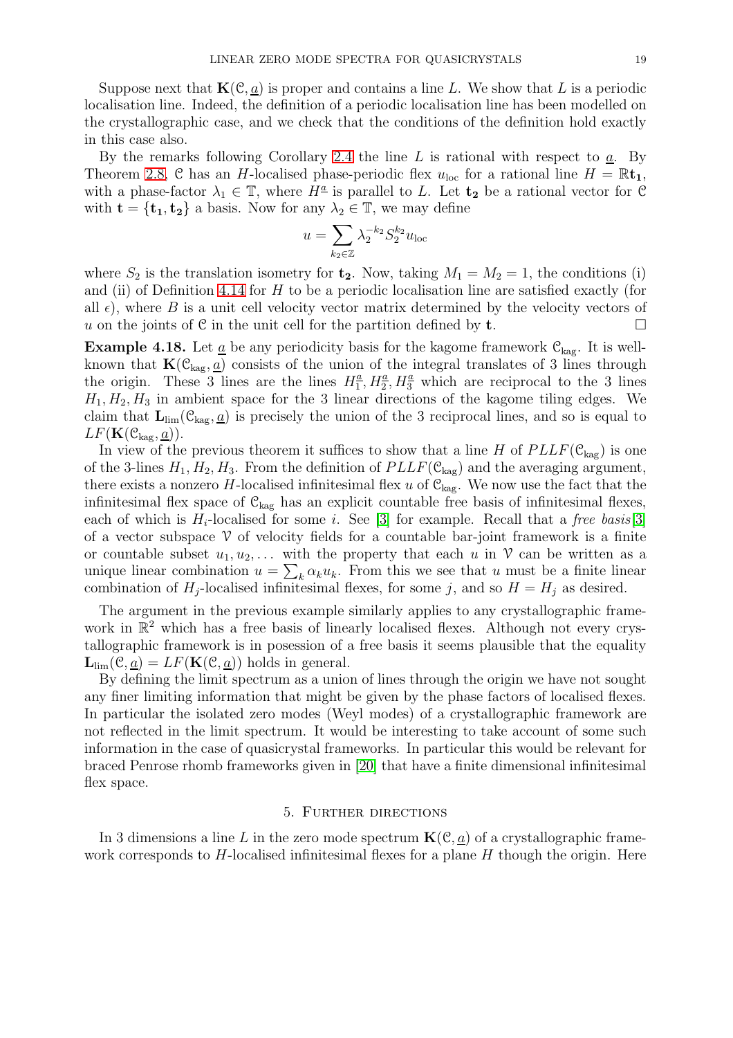Suppose next that  $\mathbf{K}(\mathcal{C}, a)$  is proper and contains a line L. We show that L is a periodic localisation line. Indeed, the definition of a periodic localisation line has been modelled on the crystallographic case, and we check that the conditions of the definition hold exactly in this case also.

By the remarks following Corollary [2.4](#page-5-2) the line  $L$  is rational with respect to  $a$ . By Theorem [2.8,](#page-7-0) C has an H-localised phase-periodic flex  $u_{\text{loc}}$  for a rational line  $H = \mathbb{R} \mathbf{t}_1$ , with a phase-factor  $\lambda_1 \in \mathbb{T}$ , where  $H^{\underline{a}}$  is parallel to L. Let  $\mathbf{t_2}$  be a rational vector for C with  $\mathbf{t} = {\mathbf{t}_1, \mathbf{t}_2}$  a basis. Now for any  $\lambda_2 \in \mathbb{T}$ , we may define

$$
u = \sum_{k_2 \in \mathbb{Z}} \lambda_2^{-k_2} S_2^{k_2} u_{\text{loc}}
$$

where  $S_2$  is the translation isometry for  $\mathbf{t}_2$ . Now, taking  $M_1 = M_2 = 1$ , the conditions (i) and (ii) of Definition [4.14](#page-16-2) for  $H$  to be a periodic localisation line are satisfied exactly (for all  $\epsilon$ ), where B is a unit cell velocity vector matrix determined by the velocity vectors of u on the joints of C in the unit cell for the partition defined by **t**.

**Example 4.18.** Let  $\underline{a}$  be any periodicity basis for the kagome framework  $\mathcal{C}_{\text{kag}}$ . It is wellknown that  $\mathbf{K}(\mathcal{C}_{\text{kag}},\underline{a})$  consists of the union of the integral translates of 3 lines through the origin. These 3 lines are the lines  $H_1^a$  $\frac{a}{1}$ ,  $H_2^{\underline{a}}$ ,  $H_3^{\underline{a}}$  which are reciprocal to the 3 lines  $H_1, H_2, H_3$  in ambient space for the 3 linear directions of the kagome tiling edges. We claim that  $\mathbf{L}_{\text{lim}}(\mathcal{C}_{\text{kag}},\underline{a})$  is precisely the union of the 3 reciprocal lines, and so is equal to  $LF(\mathbf{K}(\mathcal{C}_{\text{kag}},\underline{a})).$ 

In view of the previous theorem it suffices to show that a line H of  $PLLF(\mathcal{C}_{\text{kag}})$  is one of the 3-lines  $H_1, H_2, H_3$ . From the definition of  $PLLF(\mathcal{C}_{\text{kag}})$  and the averaging argument, there exists a nonzero H-localised infinitesimal flex u of  $\mathcal{C}_{\text{kag}}$ . We now use the fact that the infinitesimal flex space of  $\mathcal{C}_{\text{kag}}$  has an explicit countable free basis of infinitesimal flexes, each of which is  $H_i$ -localised for some i. See [\[3\]](#page-19-0) for example. Recall that a free basis[\[3\]](#page-19-0) of a vector subspace  $\mathcal V$  of velocity fields for a countable bar-joint framework is a finite or countable subset  $u_1, u_2, \ldots$  with the property that each u in  $\mathcal V$  can be written as a unique linear combination  $u = \sum_k \alpha_k u_k$ . From this we see that u must be a finite linear combination of  $H_j$ -localised infinitesimal flexes, for some j, and so  $H = H_j$  as desired.

The argument in the previous example similarly applies to any crystallographic framework in  $\mathbb{R}^2$  which has a free basis of linearly localised flexes. Although not every crystallographic framework is in posession of a free basis it seems plausible that the equality  $\mathbf{L}_{\text{lim}}(\mathcal{C}, \underline{a}) = LF(\mathbf{K}(\mathcal{C}, \underline{a}))$  holds in general.

By defining the limit spectrum as a union of lines through the origin we have not sought any finer limiting information that might be given by the phase factors of localised flexes. In particular the isolated zero modes (Weyl modes) of a crystallographic framework are not reflected in the limit spectrum. It would be interesting to take account of some such information in the case of quasicrystal frameworks. In particular this would be relevant for braced Penrose rhomb frameworks given in [\[20\]](#page-20-12) that have a finite dimensional infinitesimal flex space.

# 5. Further directions

In 3 dimensions a line L in the zero mode spectrum  $\mathbf{K}(\mathcal{C}, \underline{a})$  of a crystallographic framework corresponds to  $H$ -localised infinitesimal flexes for a plane  $H$  though the origin. Here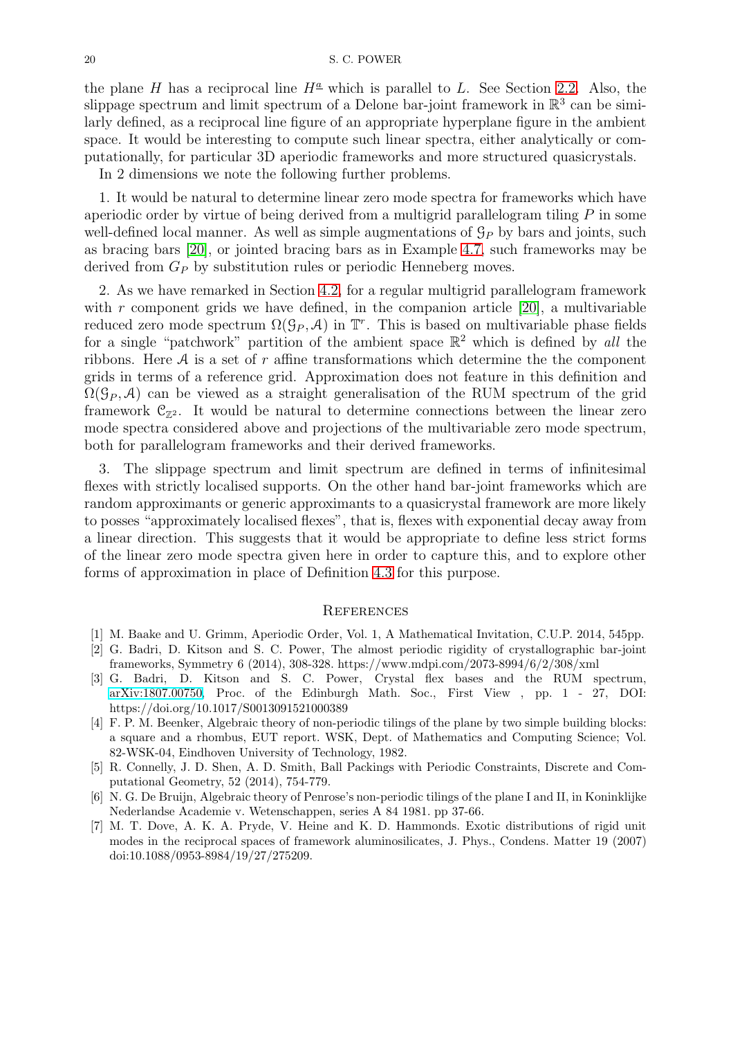the plane H has a reciprocal line  $H^{\underline{a}}$  which is parallel to L. See Section [2.2.](#page-6-1) Also, the slippage spectrum and limit spectrum of a Delone bar-joint framework in  $\mathbb{R}^3$  can be similarly defined, as a reciprocal line figure of an appropriate hyperplane figure in the ambient space. It would be interesting to compute such linear spectra, either analytically or computationally, for particular 3D aperiodic frameworks and more structured quasicrystals.

In 2 dimensions we note the following further problems.

1. It would be natural to determine linear zero mode spectra for frameworks which have aperiodic order by virtue of being derived from a multigrid parallelogram tiling  $P$  in some well-defined local manner. As well as simple augmentations of  $\mathcal{G}_P$  by bars and joints, such as bracing bars [\[20\]](#page-20-12), or jointed bracing bars as in Example [4.7,](#page-14-3) such frameworks may be derived from  $G_P$  by substitution rules or periodic Henneberg moves.

2. As we have remarked in Section [4.2,](#page-11-1) for a regular multigrid parallelogram framework with  $r$  component grids we have defined, in the companion article  $[20]$ , a multivariable reduced zero mode spectrum  $\Omega(\mathcal{G}_P, \mathcal{A})$  in  $\mathbb{T}^r$ . This is based on multivariable phase fields for a single "patchwork" partition of the ambient space  $\mathbb{R}^2$  which is defined by all the ribbons. Here  $A$  is a set of r affine transformations which determine the the component grids in terms of a reference grid. Approximation does not feature in this definition and  $\Omega(\mathcal{G}_P, \mathcal{A})$  can be viewed as a straight generalisation of the RUM spectrum of the grid framework  $\mathcal{C}_{\mathbb{Z}^2}$ . It would be natural to determine connections between the linear zero mode spectra considered above and projections of the multivariable zero mode spectrum, both for parallelogram frameworks and their derived frameworks.

3. The slippage spectrum and limit spectrum are defined in terms of infinitesimal flexes with strictly localised supports. On the other hand bar-joint frameworks which are random approximants or generic approximants to a quasicrystal framework are more likely to posses "approximately localised flexes", that is, flexes with exponential decay away from a linear direction. This suggests that it would be appropriate to define less strict forms of the linear zero mode spectra given here in order to capture this, and to explore other forms of approximation in place of Definition [4.3](#page-12-0) for this purpose.

# **REFERENCES**

- <span id="page-19-6"></span><span id="page-19-5"></span>[1] M. Baake and U. Grimm, Aperiodic Order, Vol. 1, A Mathematical Invitation, C.U.P. 2014, 545pp.
- [2] G. Badri, D. Kitson and S. C. Power, The almost periodic rigidity of crystallographic bar-joint frameworks, Symmetry 6 (2014), 308-328. https://www.mdpi.com/2073-8994/6/2/308/xml
- <span id="page-19-0"></span>[3] G. Badri, D. Kitson and S. C. Power, Crystal flex bases and the RUM spectrum, [arXiv:1807.00750,](http://arxiv.org/abs/1807.00750) Proc. of the Edinburgh Math. Soc., First View , pp. 1 - 27, DOI: https://doi.org/10.1017/S0013091521000389
- <span id="page-19-4"></span>[4] F. P. M. Beenker, Algebraic theory of non-periodic tilings of the plane by two simple building blocks: a square and a rhombus, EUT report. WSK, Dept. of Mathematics and Computing Science; Vol. 82-WSK-04, Eindhoven University of Technology, 1982.
- <span id="page-19-1"></span>[5] R. Connelly, J. D. Shen, A. D. Smith, Ball Packings with Periodic Constraints, Discrete and Computational Geometry, 52 (2014), 754-779.
- <span id="page-19-3"></span>[6] N. G. De Bruijn, Algebraic theory of Penrose's non-periodic tilings of the plane I and II, in Koninklijke Nederlandse Academie v. Wetenschappen, series A 84 1981. pp 37-66.
- <span id="page-19-2"></span>[7] M. T. Dove, A. K. A. Pryde, V. Heine and K. D. Hammonds. Exotic distributions of rigid unit modes in the reciprocal spaces of framework aluminosilicates, J. Phys., Condens. Matter 19 (2007) doi:10.1088/0953-8984/19/27/275209.